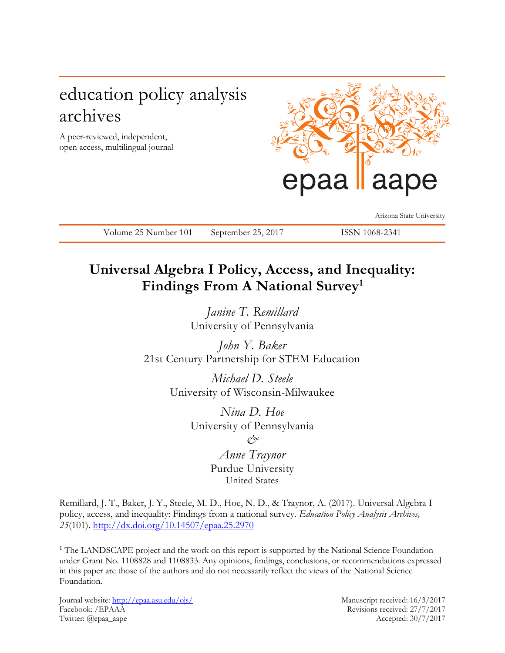# education policy analysis archives

A peer-reviewed, independent, open access, multilingual journal



Arizona State University

Volume 25 Number 101 September 25, 2017 ISSN 1068-2341

# **Universal Algebra I Policy, Access, and Inequality: Findings From A National Survey<sup>1</sup>**

*Janine T. Remillard* University of Pennsylvania

*John Y. Baker* 21st Century Partnership for STEM Education

> *Michael D. Steele* University of Wisconsin-Milwaukee

> > *Nina D. Hoe* University of Pennsylvania *&*

> > > *Anne Traynor* Purdue University United States

Remillard, J. T., Baker, J. Y., Steele, M. D., Hoe, N. D., & Traynor, A. (2017). Universal Algebra I policy, access, and inequality: Findings from a national survey. *Education Policy Analysis Archives, 25*(101).<http://dx.doi.org/10.14507/epaa.25.2970>

Journal website:<http://epaa.asu.edu/ojs/> Manuscript received: 16/3/2017 Facebook: /EPAAA Revisions received: 27/7/2017 Twitter: @epaa\_aape Accepted: 30/7/2017

 $\overline{a}$ 

<sup>&</sup>lt;sup>1</sup> The LANDSCAPE project and the work on this report is supported by the National Science Foundation under Grant No. 1108828 and 1108833. Any opinions, findings, conclusions, or recommendations expressed in this paper are those of the authors and do not necessarily reflect the views of the National Science Foundation.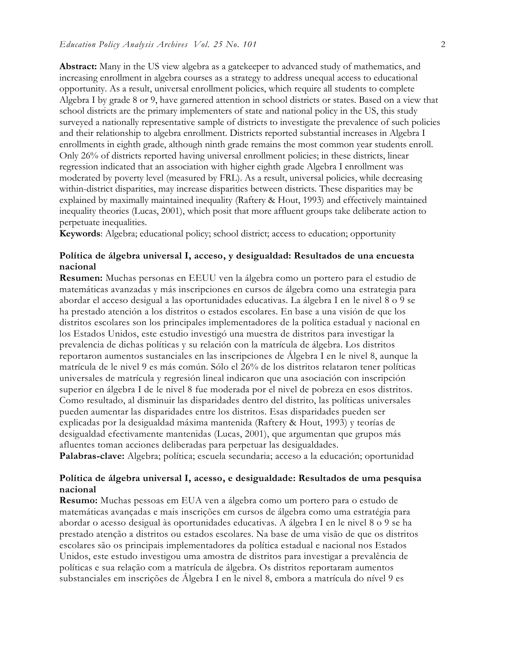**Abstract:** Many in the US view algebra as a gatekeeper to advanced study of mathematics, and increasing enrollment in algebra courses as a strategy to address unequal access to educational opportunity. As a result, universal enrollment policies, which require all students to complete Algebra I by grade 8 or 9, have garnered attention in school districts or states. Based on a view that school districts are the primary implementers of state and national policy in the US, this study surveyed a nationally representative sample of districts to investigate the prevalence of such policies and their relationship to algebra enrollment. Districts reported substantial increases in Algebra I enrollments in eighth grade, although ninth grade remains the most common year students enroll. Only 26% of districts reported having universal enrollment policies; in these districts, linear regression indicated that an association with higher eighth grade Algebra I enrollment was moderated by poverty level (measured by FRL). As a result, universal policies, while decreasing within-district disparities, may increase disparities between districts. These disparities may be explained by maximally maintained inequality (Raftery & Hout, 1993) and effectively maintained inequality theories (Lucas, 2001), which posit that more affluent groups take deliberate action to perpetuate inequalities.

**Keywords**: Algebra; educational policy; school district; access to education; opportunity

## **Política de álgebra universal I, acceso, y desigualdad: Resultados de una encuesta nacional**

**Resumen:** Muchas personas en EEUU ven la álgebra como un portero para el estudio de matemáticas avanzadas y más inscripciones en cursos de álgebra como una estrategia para abordar el acceso desigual a las oportunidades educativas. La álgebra I en le nivel 8 o 9 se ha prestado atención a los distritos o estados escolares. En base a una visión de que los distritos escolares son los principales implementadores de la política estadual y nacional en los Estados Unidos, este estudio investigó una muestra de distritos para investigar la prevalencia de dichas políticas y su relación con la matrícula de álgebra. Los distritos reportaron aumentos sustanciales en las inscripciones de Álgebra I en le nivel 8, aunque la matrícula de le nivel 9 es más común. Sólo el 26% de los distritos relataron tener políticas universales de matrícula y regresión lineal indicaron que una asociación con inscripción superior en álgebra I de le nivel 8 fue moderada por el nivel de pobreza en esos distritos. Como resultado, al disminuir las disparidades dentro del distrito, las políticas universales pueden aumentar las disparidades entre los distritos. Esas disparidades pueden ser explicadas por la desigualdad máxima mantenida (Raftery & Hout, 1993) y teorías de desigualdad efectivamente mantenidas (Lucas, 2001), que argumentan que grupos más afluentes toman acciones deliberadas para perpetuar las desigualdades. **Palabras-clave:** Algebra; política; escuela secundaria; acceso a la educación; oportunidad

# **Política de álgebra universal I, acesso, e desigualdade: Resultados de uma pesquisa nacional**

**Resumo:** Muchas pessoas em EUA ven a álgebra como um portero para o estudo de matemáticas avançadas e mais inscrições em cursos de álgebra como uma estratégia para abordar o acesso desigual às oportunidades educativas. A álgebra I en le nivel 8 o 9 se ha prestado atenção a distritos ou estados escolares. Na base de uma visão de que os distritos escolares são os principais implementadores da política estadual e nacional nos Estados Unidos, este estudo investigou uma amostra de distritos para investigar a prevalência de políticas e sua relação com a matrícula de álgebra. Os distritos reportaram aumentos substanciales em inscrições de Álgebra I en le nivel 8, embora a matrícula do nível 9 es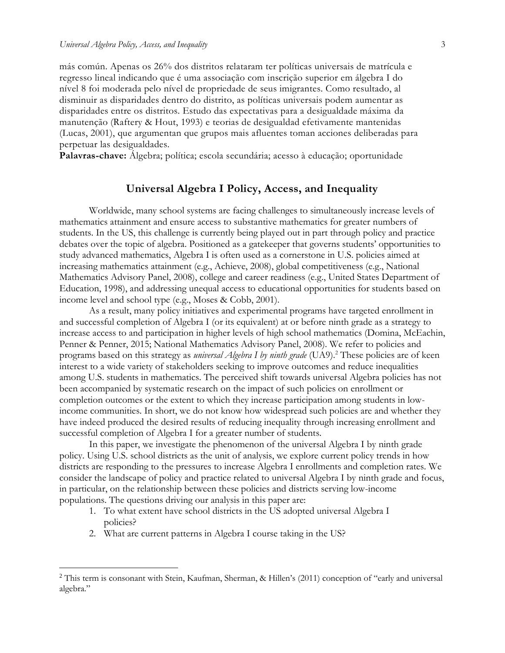más común. Apenas os 26% dos distritos relataram ter políticas universais de matrícula e regresso lineal indicando que é uma associação com inscrição superior em álgebra I do nível 8 foi moderada pelo nível de propriedade de seus imigrantes. Como resultado, al disminuir as disparidades dentro do distrito, as políticas universais podem aumentar as disparidades entre os distritos. Estudo das expectativas para a desigualdade máxima da manutenção (Raftery & Hout, 1993) e teorias de desigualdad efetivamente mantenidas (Lucas, 2001), que argumentan que grupos mais afluentes toman acciones deliberadas para perpetuar las desigualdades.

**Palavras-chave:** Álgebra; política; escola secundária; acesso à educação; oportunidade

# **Universal Algebra I Policy, Access, and Inequality**

Worldwide, many school systems are facing challenges to simultaneously increase levels of mathematics attainment and ensure access to substantive mathematics for greater numbers of students. In the US, this challenge is currently being played out in part through policy and practice debates over the topic of algebra. Positioned as a gatekeeper that governs students' opportunities to study advanced mathematics, Algebra I is often used as a cornerstone in U.S. policies aimed at increasing mathematics attainment (e.g., Achieve, 2008), global competitiveness (e.g., National Mathematics Advisory Panel, 2008), college and career readiness (e.g., United States Department of Education, 1998), and addressing unequal access to educational opportunities for students based on income level and school type (e.g., Moses & Cobb, 2001).

As a result, many policy initiatives and experimental programs have targeted enrollment in and successful completion of Algebra I (or its equivalent) at or before ninth grade as a strategy to increase access to and participation in higher levels of high school mathematics (Domina, McEachin, Penner & Penner, 2015; National Mathematics Advisory Panel, 2008). We refer to policies and programs based on this strategy as *universal Algebra I by ninth grade* (UA9).<sup>2</sup> These policies are of keen interest to a wide variety of stakeholders seeking to improve outcomes and reduce inequalities among U.S. students in mathematics. The perceived shift towards universal Algebra policies has not been accompanied by systematic research on the impact of such policies on enrollment or completion outcomes or the extent to which they increase participation among students in lowincome communities. In short, we do not know how widespread such policies are and whether they have indeed produced the desired results of reducing inequality through increasing enrollment and successful completion of Algebra I for a greater number of students.

In this paper, we investigate the phenomenon of the universal Algebra I by ninth grade policy. Using U.S. school districts as the unit of analysis, we explore current policy trends in how districts are responding to the pressures to increase Algebra I enrollments and completion rates. We consider the landscape of policy and practice related to universal Algebra I by ninth grade and focus, in particular, on the relationship between these policies and districts serving low-income populations. The questions driving our analysis in this paper are:

- 1. To what extent have school districts in the US adopted universal Algebra I policies?
- 2. What are current patterns in Algebra I course taking in the US?

 $\overline{a}$ 

<sup>&</sup>lt;sup>2</sup> This term is consonant with Stein, Kaufman, Sherman, & Hillen's (2011) conception of "early and universal algebra."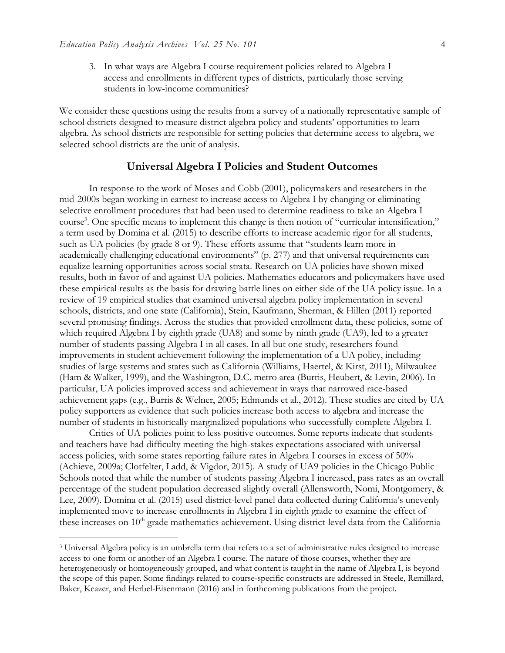$\overline{a}$ 

3. In what ways are Algebra I course requirement policies related to Algebra I access and enrollments in different types of districts, particularly those serving students in low-income communities?

We consider these questions using the results from a survey of a nationally representative sample of school districts designed to measure district algebra policy and students' opportunities to learn algebra. As school districts are responsible for setting policies that determine access to algebra, we selected school districts are the unit of analysis.

#### **Universal Algebra I Policies and Student Outcomes**

In response to the work of Moses and Cobb (2001), policymakers and researchers in the mid-2000s began working in earnest to increase access to Algebra I by changing or eliminating selective enrollment procedures that had been used to determine readiness to take an Algebra I course<sup>3</sup>. One specific means to implement this change is then notion of "curricular intensification," a term used by Domina et al. (2015) to describe efforts to increase academic rigor for all students, such as UA policies (by grade 8 or 9). These efforts assume that "students learn more in academically challenging educational environments" (p. 277) and that universal requirements can equalize learning opportunities across social strata. Research on UA policies have shown mixed results, both in favor of and against UA policies. Mathematics educators and policymakers have used these empirical results as the basis for drawing battle lines on either side of the UA policy issue. In a review of 19 empirical studies that examined universal algebra policy implementation in several schools, districts, and one state (California), Stein, Kaufmann, Sherman, & Hillen (2011) reported several promising findings. Across the studies that provided enrollment data, these policies, some of which required Algebra I by eighth grade (UA8) and some by ninth grade (UA9), led to a greater number of students passing Algebra I in all cases. In all but one study, researchers found improvements in student achievement following the implementation of a UA policy, including studies of large systems and states such as California (Williams, Haertel, & Kirst, 2011), Milwaukee (Ham & Walker, 1999), and the Washington, D.C. metro area (Burris, Heubert, & Levin, 2006). In particular, UA policies improved access and achievement in ways that narrowed race-based achievement gaps (e.g., Burris & Welner, 2005; Edmunds et al., 2012). These studies are cited by UA policy supporters as evidence that such policies increase both access to algebra and increase the number of students in historically marginalized populations who successfully complete Algebra I.

Critics of UA policies point to less positive outcomes. Some reports indicate that students and teachers have had difficulty meeting the high-stakes expectations associated with universal access policies, with some states reporting failure rates in Algebra I courses in excess of 50% (Achieve, 2009a; Clotfelter, Ladd, & Vigdor, 2015). A study of UA9 policies in the Chicago Public Schools noted that while the number of students passing Algebra I increased, pass rates as an overall percentage of the student population decreased slightly overall (Allensworth, Nomi, Montgomery, & Lee, 2009). Domina et al. (2015) used district-level panel data collected during California's unevenly implemented move to increase enrollments in Algebra I in eighth grade to examine the effect of these increases on  $10<sup>th</sup>$  grade mathematics achievement. Using district-level data from the California

<sup>3</sup> Universal Algebra policy is an umbrella term that refers to a set of administrative rules designed to increase access to one form or another of an Algebra I course. The nature of those courses, whether they are heterogeneously or homogeneously grouped, and what content is taught in the name of Algebra I, is beyond the scope of this paper. Some findings related to course-specific constructs are addressed in Steele, Remillard, Baker, Keazer, and Herbel-Eisenmann (2016) and in forthcoming publications from the project.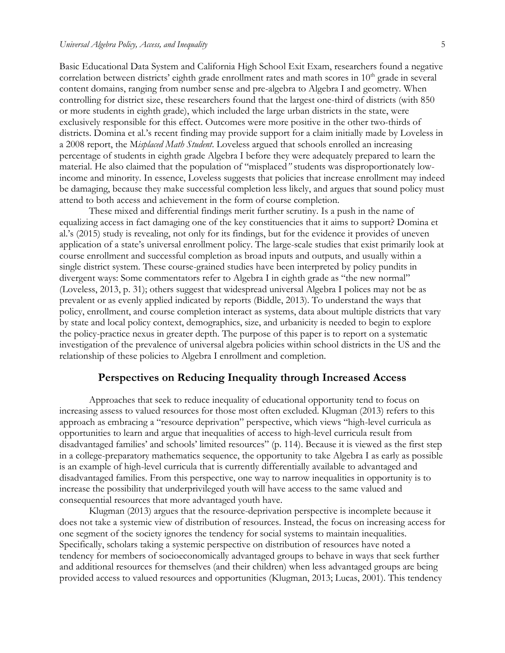Basic Educational Data System and California High School Exit Exam, researchers found a negative correlation between districts' eighth grade enrollment rates and math scores in  $10<sup>th</sup>$  grade in several content domains, ranging from number sense and pre-algebra to Algebra I and geometry. When controlling for district size, these researchers found that the largest one-third of districts (with 850 or more students in eighth grade), which included the large urban districts in the state, were exclusively responsible for this effect. Outcomes were more positive in the other two-thirds of districts. Domina et al.'s recent finding may provide support for a claim initially made by Loveless in a 2008 report, the M*isplaced Math Student*. Loveless argued that schools enrolled an increasing percentage of students in eighth grade Algebra I before they were adequately prepared to learn the material. He also claimed that the population of "misplaced*"* students was disproportionately lowincome and minority. In essence, Loveless suggests that policies that increase enrollment may indeed be damaging, because they make successful completion less likely, and argues that sound policy must attend to both access and achievement in the form of course completion.

These mixed and differential findings merit further scrutiny. Is a push in the name of equalizing access in fact damaging one of the key constituencies that it aims to support? Domina et al.'s (2015) study is revealing, not only for its findings, but for the evidence it provides of uneven application of a state's universal enrollment policy. The large-scale studies that exist primarily look at course enrollment and successful completion as broad inputs and outputs, and usually within a single district system. These course-grained studies have been interpreted by policy pundits in divergent ways: Some commentators refer to Algebra I in eighth grade as "the new normal" (Loveless, 2013, p. 31); others suggest that widespread universal Algebra I polices may not be as prevalent or as evenly applied indicated by reports (Biddle, 2013). To understand the ways that policy, enrollment, and course completion interact as systems, data about multiple districts that vary by state and local policy context, demographics, size, and urbanicity is needed to begin to explore the policy-practice nexus in greater depth. The purpose of this paper is to report on a systematic investigation of the prevalence of universal algebra policies within school districts in the US and the relationship of these policies to Algebra I enrollment and completion.

# **Perspectives on Reducing Inequality through Increased Access**

Approaches that seek to reduce inequality of educational opportunity tend to focus on increasing assess to valued resources for those most often excluded. Klugman (2013) refers to this approach as embracing a "resource deprivation" perspective, which views "high-level curricula as opportunities to learn and argue that inequalities of access to high-level curricula result from disadvantaged families' and schools' limited resources" (p. 114). Because it is viewed as the first step in a college-preparatory mathematics sequence, the opportunity to take Algebra I as early as possible is an example of high-level curricula that is currently differentially available to advantaged and disadvantaged families. From this perspective, one way to narrow inequalities in opportunity is to increase the possibility that underprivileged youth will have access to the same valued and consequential resources that more advantaged youth have.

Klugman (2013) argues that the resource-deprivation perspective is incomplete because it does not take a systemic view of distribution of resources. Instead, the focus on increasing access for one segment of the society ignores the tendency for social systems to maintain inequalities. Specifically, scholars taking a systemic perspective on distribution of resources have noted a tendency for members of socioeconomically advantaged groups to behave in ways that seek further and additional resources for themselves (and their children) when less advantaged groups are being provided access to valued resources and opportunities (Klugman, 2013; Lucas, 2001). This tendency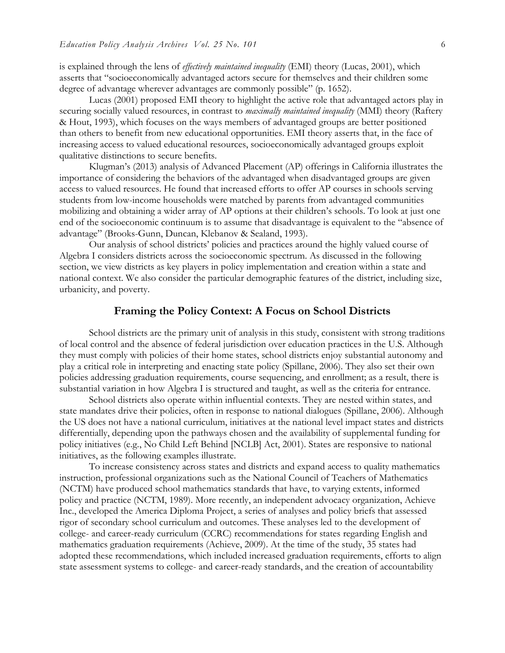is explained through the lens of *effectively maintained inequality* (EMI) theory (Lucas, 2001), which asserts that "socioeconomically advantaged actors secure for themselves and their children some degree of advantage wherever advantages are commonly possible" (p. 1652).

Lucas (2001) proposed EMI theory to highlight the active role that advantaged actors play in securing socially valued resources, in contrast to *maximally maintained inequality* (MMI) theory (Raftery & Hout, 1993), which focuses on the ways members of advantaged groups are better positioned than others to benefit from new educational opportunities. EMI theory asserts that, in the face of increasing access to valued educational resources, socioeconomically advantaged groups exploit qualitative distinctions to secure benefits.

Klugman's (2013) analysis of Advanced Placement (AP) offerings in California illustrates the importance of considering the behaviors of the advantaged when disadvantaged groups are given access to valued resources. He found that increased efforts to offer AP courses in schools serving students from low-income households were matched by parents from advantaged communities mobilizing and obtaining a wider array of AP options at their children's schools. To look at just one end of the socioeconomic continuum is to assume that disadvantage is equivalent to the "absence of advantage" (Brooks-Gunn, Duncan, Klebanov & Sealand, 1993).

Our analysis of school districts' policies and practices around the highly valued course of Algebra I considers districts across the socioeconomic spectrum. As discussed in the following section, we view districts as key players in policy implementation and creation within a state and national context. We also consider the particular demographic features of the district, including size, urbanicity, and poverty.

#### **Framing the Policy Context: A Focus on School Districts**

School districts are the primary unit of analysis in this study, consistent with strong traditions of local control and the absence of federal jurisdiction over education practices in the U.S. Although they must comply with policies of their home states, school districts enjoy substantial autonomy and play a critical role in interpreting and enacting state policy (Spillane, 2006). They also set their own policies addressing graduation requirements, course sequencing, and enrollment; as a result, there is substantial variation in how Algebra I is structured and taught, as well as the criteria for entrance.

School districts also operate within influential contexts. They are nested within states, and state mandates drive their policies, often in response to national dialogues (Spillane, 2006). Although the US does not have a national curriculum, initiatives at the national level impact states and districts differentially, depending upon the pathways chosen and the availability of supplemental funding for policy initiatives (e.g., No Child Left Behind [NCLB] Act, 2001). States are responsive to national initiatives, as the following examples illustrate.

To increase consistency across states and districts and expand access to quality mathematics instruction, professional organizations such as the National Council of Teachers of Mathematics (NCTM) have produced school mathematics standards that have, to varying extents, informed policy and practice (NCTM, 1989). More recently, an independent advocacy organization, Achieve Inc., developed the America Diploma Project, a series of analyses and policy briefs that assessed rigor of secondary school curriculum and outcomes. These analyses led to the development of college- and career-ready curriculum (CCRC) recommendations for states regarding English and mathematics graduation requirements (Achieve, 2009). At the time of the study, 35 states had adopted these recommendations, which included increased graduation requirements, efforts to align state assessment systems to college- and career-ready standards, and the creation of accountability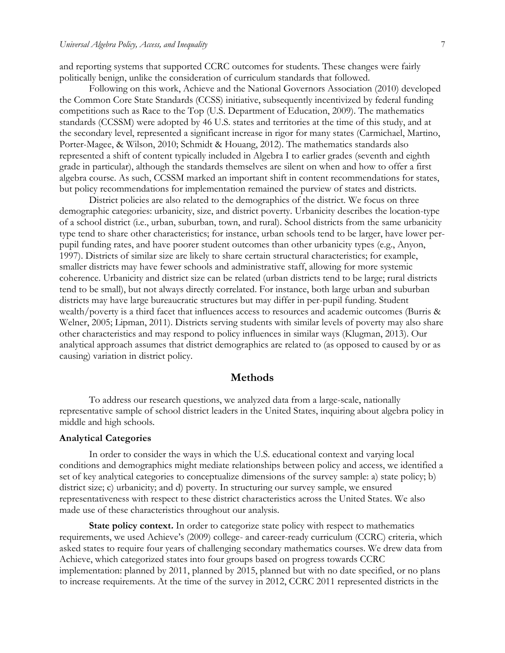and reporting systems that supported CCRC outcomes for students. These changes were fairly politically benign, unlike the consideration of curriculum standards that followed.

Following on this work, Achieve and the National Governors Association (2010) developed the Common Core State Standards (CCSS) initiative, subsequently incentivized by federal funding competitions such as Race to the Top (U.S. Department of Education, 2009). The mathematics standards (CCSSM) were adopted by 46 U.S. states and territories at the time of this study, and at the secondary level, represented a significant increase in rigor for many states (Carmichael, Martino, Porter-Magee, & Wilson, 2010; Schmidt & Houang, 2012). The mathematics standards also represented a shift of content typically included in Algebra I to earlier grades (seventh and eighth grade in particular), although the standards themselves are silent on when and how to offer a first algebra course. As such, CCSSM marked an important shift in content recommendations for states, but policy recommendations for implementation remained the purview of states and districts.

District policies are also related to the demographics of the district. We focus on three demographic categories: urbanicity, size, and district poverty. Urbanicity describes the location-type of a school district (i.e., urban, suburban, town, and rural). School districts from the same urbanicity type tend to share other characteristics; for instance, urban schools tend to be larger, have lower perpupil funding rates, and have poorer student outcomes than other urbanicity types (e.g., Anyon, 1997). Districts of similar size are likely to share certain structural characteristics; for example, smaller districts may have fewer schools and administrative staff, allowing for more systemic coherence. Urbanicity and district size can be related (urban districts tend to be large; rural districts tend to be small), but not always directly correlated. For instance, both large urban and suburban districts may have large bureaucratic structures but may differ in per-pupil funding. Student wealth/poverty is a third facet that influences access to resources and academic outcomes (Burris & Welner, 2005; Lipman, 2011). Districts serving students with similar levels of poverty may also share other characteristics and may respond to policy influences in similar ways (Klugman, 2013). Our analytical approach assumes that district demographics are related to (as opposed to caused by or as causing) variation in district policy.

#### **Methods**

To address our research questions, we analyzed data from a large-scale, nationally representative sample of school district leaders in the United States, inquiring about algebra policy in middle and high schools.

#### **Analytical Categories**

In order to consider the ways in which the U.S. educational context and varying local conditions and demographics might mediate relationships between policy and access, we identified a set of key analytical categories to conceptualize dimensions of the survey sample: a) state policy; b) district size; c) urbanicity; and d) poverty. In structuring our survey sample, we ensured representativeness with respect to these district characteristics across the United States. We also made use of these characteristics throughout our analysis.

**State policy context.** In order to categorize state policy with respect to mathematics requirements, we used Achieve's (2009) college- and career-ready curriculum (CCRC) criteria, which asked states to require four years of challenging secondary mathematics courses. We drew data from Achieve, which categorized states into four groups based on progress towards CCRC implementation: planned by 2011, planned by 2015, planned but with no date specified, or no plans to increase requirements. At the time of the survey in 2012, CCRC 2011 represented districts in the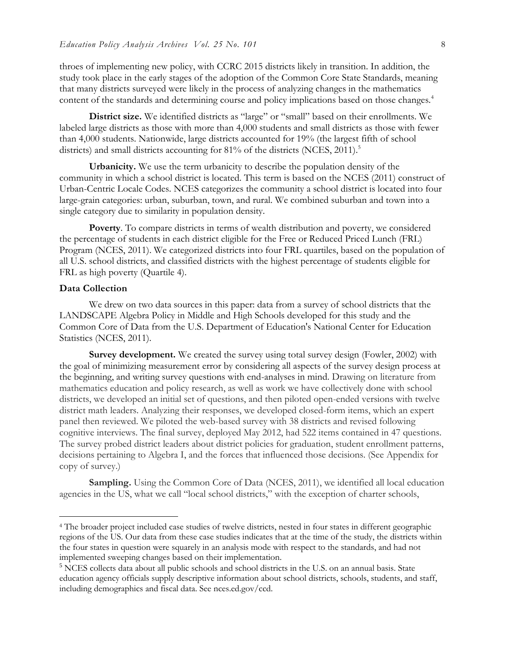throes of implementing new policy, with CCRC 2015 districts likely in transition. In addition, the study took place in the early stages of the adoption of the Common Core State Standards, meaning that many districts surveyed were likely in the process of analyzing changes in the mathematics content of the standards and determining course and policy implications based on those changes.<sup>4</sup>

**District size.** We identified districts as "large" or "small" based on their enrollments. We labeled large districts as those with more than 4,000 students and small districts as those with fewer than 4,000 students. Nationwide, large districts accounted for 19% (the largest fifth of school districts) and small districts accounting for 81% of the districts (NCES, 2011).<sup>5</sup>

**Urbanicity.** We use the term urbanicity to describe the population density of the community in which a school district is located. This term is based on the NCES (2011) construct of Urban-Centric Locale Codes. NCES categorizes the community a school district is located into four large-grain categories: urban, suburban, town, and rural. We combined suburban and town into a single category due to similarity in population density.

**Poverty**. To compare districts in terms of wealth distribution and poverty, we considered the percentage of students in each district eligible for the Free or Reduced Priced Lunch (FRL) Program (NCES, 2011). We categorized districts into four FRL quartiles, based on the population of all U.S. school districts, and classified districts with the highest percentage of students eligible for FRL as high poverty (Quartile 4).

## **Data Collection**

 $\overline{a}$ 

We drew on two data sources in this paper: data from a survey of school districts that the LANDSCAPE Algebra Policy in Middle and High Schools developed for this study and the Common Core of Data from the U.S. Department of Education's National Center for Education Statistics (NCES, 2011).

**Survey development.** We created the survey using total survey design (Fowler, 2002) with the goal of minimizing measurement error by considering all aspects of the survey design process at the beginning, and writing survey questions with end-analyses in mind. Drawing on literature from mathematics education and policy research, as well as work we have collectively done with school districts, we developed an initial set of questions, and then piloted open-ended versions with twelve district math leaders. Analyzing their responses, we developed closed-form items, which an expert panel then reviewed. We piloted the web-based survey with 38 districts and revised following cognitive interviews. The final survey, deployed May 2012, had 522 items contained in 47 questions. The survey probed district leaders about district policies for graduation, student enrollment patterns, decisions pertaining to Algebra I, and the forces that influenced those decisions. (See Appendix for copy of survey.)

**Sampling.** Using the Common Core of Data (NCES, 2011), we identified all local education agencies in the US, what we call "local school districts," with the exception of charter schools,

<sup>4</sup> The broader project included case studies of twelve districts, nested in four states in different geographic regions of the US. Our data from these case studies indicates that at the time of the study, the districts within the four states in question were squarely in an analysis mode with respect to the standards, and had not implemented sweeping changes based on their implementation.

<sup>5</sup> NCES collects data about all public schools and school districts in the U.S. on an annual basis. State education agency officials supply descriptive information about school districts, schools, students, and staff, including demographics and fiscal data. See nces.ed.gov/ccd.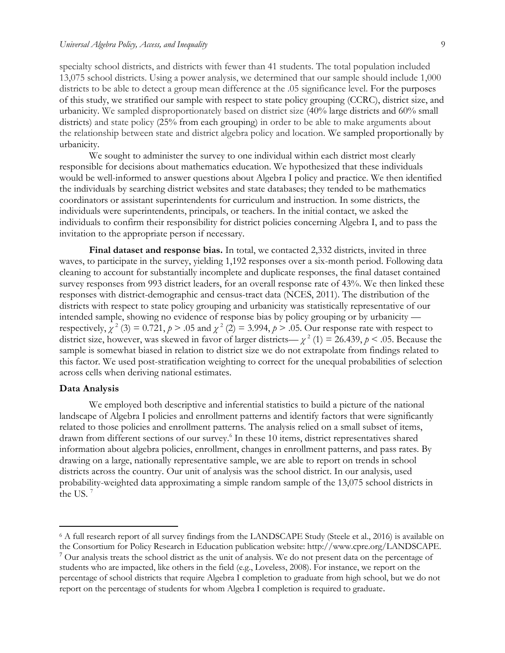specialty school districts, and districts with fewer than 41 students. The total population included 13,075 school districts. Using a power analysis, we determined that our sample should include 1,000 districts to be able to detect a group mean difference at the .05 significance level. For the purposes of this study, we stratified our sample with respect to state policy grouping (CCRC), district size, and urbanicity. We sampled disproportionately based on district size (40% large districts and 60% small districts) and state policy (25% from each grouping) in order to be able to make arguments about the relationship between state and district algebra policy and location. We sampled proportionally by urbanicity.

We sought to administer the survey to one individual within each district most clearly responsible for decisions about mathematics education. We hypothesized that these individuals would be well-informed to answer questions about Algebra I policy and practice. We then identified the individuals by searching district websites and state databases; they tended to be mathematics coordinators or assistant superintendents for curriculum and instruction. In some districts, the individuals were superintendents, principals, or teachers. In the initial contact, we asked the individuals to confirm their responsibility for district policies concerning Algebra I, and to pass the invitation to the appropriate person if necessary.

**Final dataset and response bias.** In total, we contacted 2,332 districts, invited in three waves, to participate in the survey, yielding 1,192 responses over a six-month period. Following data cleaning to account for substantially incomplete and duplicate responses, the final dataset contained survey responses from 993 district leaders, for an overall response rate of 43%. We then linked these responses with district-demographic and census-tract data (NCES, 2011). The distribution of the districts with respect to state policy grouping and urbanicity was statistically representative of our intended sample, showing no evidence of response bias by policy grouping or by urbanicity respectively,  $\chi^2$  (3) = 0.721,  $p > .05$  and  $\chi^2$  (2) = 3.994,  $p > .05$ . Our response rate with respect to district size, however, was skewed in favor of larger districts—  $\chi^2$  (1) = 26.439,  $p < .05$ . Because the sample is somewhat biased in relation to district size we do not extrapolate from findings related to this factor. We used post-stratification weighting to correct for the unequal probabilities of selection across cells when deriving national estimates.

#### **Data Analysis**

 $\overline{a}$ 

We employed both descriptive and inferential statistics to build a picture of the national landscape of Algebra I policies and enrollment patterns and identify factors that were significantly related to those policies and enrollment patterns. The analysis relied on a small subset of items, drawn from different sections of our survey.<sup>6</sup> In these 10 items, district representatives shared information about algebra policies, enrollment, changes in enrollment patterns, and pass rates. By drawing on a large, nationally representative sample, we are able to report on trends in school districts across the country. Our unit of analysis was the school district. In our analysis, used probability-weighted data approximating a simple random sample of the 13,075 school districts in the US.<sup>7</sup>

<sup>6</sup> A full research report of all survey findings from the LANDSCAPE Study (Steele et al., 2016) is available on the Consortium for Policy Research in Education publication website: http://www.cpre.org/LANDSCAPE.

<sup>7</sup> Our analysis treats the school district as the unit of analysis. We do not present data on the percentage of students who are impacted, like others in the field (e.g., Loveless, 2008). For instance, we report on the percentage of school districts that require Algebra I completion to graduate from high school, but we do not report on the percentage of students for whom Algebra I completion is required to graduate.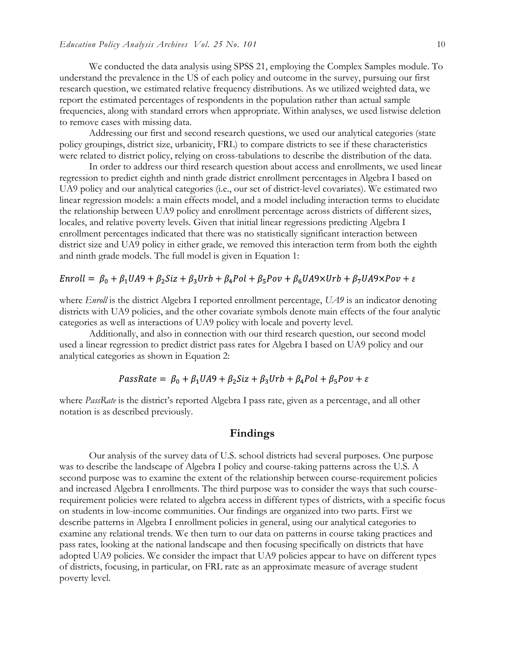We conducted the data analysis using SPSS 21, employing the Complex Samples module. To understand the prevalence in the US of each policy and outcome in the survey, pursuing our first research question, we estimated relative frequency distributions. As we utilized weighted data, we report the estimated percentages of respondents in the population rather than actual sample frequencies, along with standard errors when appropriate. Within analyses, we used listwise deletion to remove cases with missing data.

Addressing our first and second research questions, we used our analytical categories (state policy groupings, district size, urbanicity, FRL) to compare districts to see if these characteristics were related to district policy, relying on cross-tabulations to describe the distribution of the data.

In order to address our third research question about access and enrollments, we used linear regression to predict eighth and ninth grade district enrollment percentages in Algebra I based on UA9 policy and our analytical categories (i.e., our set of district-level covariates). We estimated two linear regression models: a main effects model, and a model including interaction terms to elucidate the relationship between UA9 policy and enrollment percentage across districts of different sizes, locales, and relative poverty levels. Given that initial linear regressions predicting Algebra I enrollment percentages indicated that there was no statistically significant interaction between district size and UA9 policy in either grade, we removed this interaction term from both the eighth and ninth grade models. The full model is given in Equation 1:

# $Enroll = \beta_0 + \beta_1 U A9 + \beta_2 Siz + \beta_3 Urb + \beta_4 Pol + \beta_5 Pov + \beta_6 U A9 \times Urb + \beta_7 U A9 \times Pov + \varepsilon$

where *Enroll* is the district Algebra I reported enrollment percentage, *UA9* is an indicator denoting districts with UA9 policies, and the other covariate symbols denote main effects of the four analytic categories as well as interactions of UA9 policy with locale and poverty level.

Additionally, and also in connection with our third research question, our second model used a linear regression to predict district pass rates for Algebra I based on UA9 policy and our analytical categories as shown in Equation 2:

## PassRate =  $\beta_0 + \beta_1 U A9 + \beta_2 Siz + \beta_3 Urb + \beta_4 Pol + \beta_5 Pov + \varepsilon$

where *PassRate* is the district's reported Algebra I pass rate, given as a percentage, and all other notation is as described previously.

# **Findings**

Our analysis of the survey data of U.S. school districts had several purposes. One purpose was to describe the landscape of Algebra I policy and course-taking patterns across the U.S. A second purpose was to examine the extent of the relationship between course-requirement policies and increased Algebra I enrollments. The third purpose was to consider the ways that such courserequirement policies were related to algebra access in different types of districts, with a specific focus on students in low-income communities. Our findings are organized into two parts. First we describe patterns in Algebra I enrollment policies in general, using our analytical categories to examine any relational trends. We then turn to our data on patterns in course taking practices and pass rates, looking at the national landscape and then focusing specifically on districts that have adopted UA9 policies. We consider the impact that UA9 policies appear to have on different types of districts, focusing, in particular, on FRL rate as an approximate measure of average student poverty level.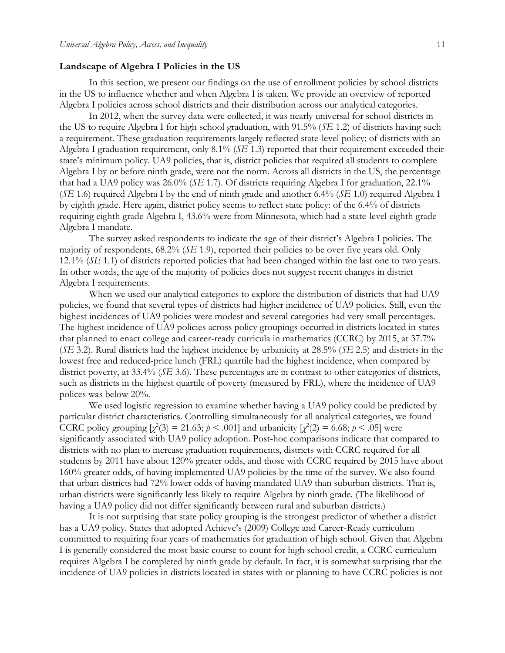#### **Landscape of Algebra I Policies in the US**

In this section, we present our findings on the use of enrollment policies by school districts in the US to influence whether and when Algebra I is taken. We provide an overview of reported Algebra I policies across school districts and their distribution across our analytical categories.

In 2012, when the survey data were collected, it was nearly universal for school districts in the US to require Algebra I for high school graduation, with 91.5% (*SE* 1.2) of districts having such a requirement. These graduation requirements largely reflected state-level policy; of districts with an Algebra I graduation requirement, only 8.1% (*SE* 1.3) reported that their requirement exceeded their state's minimum policy. UA9 policies, that is, district policies that required all students to complete Algebra I by or before ninth grade, were not the norm. Across all districts in the US, the percentage that had a UA9 policy was 26.0% (*SE* 1.7). Of districts requiring Algebra I for graduation, 22.1% (*SE* 1.6) required Algebra I by the end of ninth grade and another 6.4% (*SE* 1.0) required Algebra I by eighth grade. Here again, district policy seems to reflect state policy: of the 6.4% of districts requiring eighth grade Algebra I, 43.6% were from Minnesota, which had a state-level eighth grade Algebra I mandate.

The survey asked respondents to indicate the age of their district's Algebra I policies. The majority of respondents, 68.2% (*SE* 1.9), reported their policies to be over five years old. Only 12.1% (*SE* 1.1) of districts reported policies that had been changed within the last one to two years. In other words, the age of the majority of policies does not suggest recent changes in district Algebra I requirements.

When we used our analytical categories to explore the distribution of districts that had UA9 policies, we found that several types of districts had higher incidence of UA9 policies. Still, even the highest incidences of UA9 policies were modest and several categories had very small percentages. The highest incidence of UA9 policies across policy groupings occurred in districts located in states that planned to enact college and career-ready curricula in mathematics (CCRC) by 2015, at 37.7% (*SE* 3.2). Rural districts had the highest incidence by urbanicity at 28.5% (*SE* 2.5) and districts in the lowest free and reduced-price lunch (FRL) quartile had the highest incidence, when compared by district poverty, at 33.4% (*SE* 3.6). These percentages are in contrast to other categories of districts, such as districts in the highest quartile of poverty (measured by FRL), where the incidence of UA9 polices was below 20%.

We used logistic regression to examine whether having a UA9 policy could be predicted by particular district characteristics. Controlling simultaneously for all analytical categories, we found CCRC policy grouping  $[\chi^2(3) = 21.63; p \le .001]$  and urbanicity  $[\chi^2(2) = 6.68; p \le .05]$  were significantly associated with UA9 policy adoption. Post-hoc comparisons indicate that compared to districts with no plan to increase graduation requirements, districts with CCRC required for all students by 2011 have about 120% greater odds, and those with CCRC required by 2015 have about 160% greater odds, of having implemented UA9 policies by the time of the survey. We also found that urban districts had 72% lower odds of having mandated UA9 than suburban districts. That is, urban districts were significantly less likely to require Algebra by ninth grade. (The likelihood of having a UA9 policy did not differ significantly between rural and suburban districts.)

It is not surprising that state policy grouping is the strongest predictor of whether a district has a UA9 policy. States that adopted Achieve's (2009) College and Career-Ready curriculum committed to requiring four years of mathematics for graduation of high school. Given that Algebra I is generally considered the most basic course to count for high school credit, a CCRC curriculum requires Algebra I be completed by ninth grade by default. In fact, it is somewhat surprising that the incidence of UA9 policies in districts located in states with or planning to have CCRC policies is not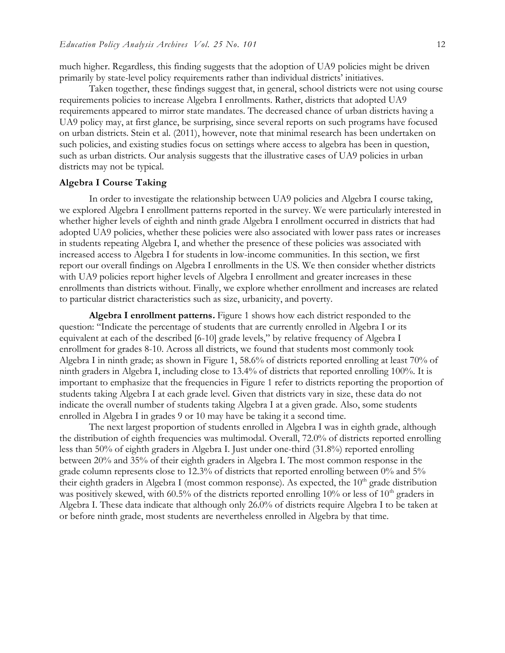much higher. Regardless, this finding suggests that the adoption of UA9 policies might be driven primarily by state-level policy requirements rather than individual districts' initiatives.

Taken together, these findings suggest that, in general, school districts were not using course requirements policies to increase Algebra I enrollments. Rather, districts that adopted UA9 requirements appeared to mirror state mandates. The decreased chance of urban districts having a UA9 policy may, at first glance, be surprising, since several reports on such programs have focused on urban districts. Stein et al. (2011), however, note that minimal research has been undertaken on such policies, and existing studies focus on settings where access to algebra has been in question, such as urban districts. Our analysis suggests that the illustrative cases of UA9 policies in urban districts may not be typical.

#### **Algebra I Course Taking**

In order to investigate the relationship between UA9 policies and Algebra I course taking, we explored Algebra I enrollment patterns reported in the survey. We were particularly interested in whether higher levels of eighth and ninth grade Algebra I enrollment occurred in districts that had adopted UA9 policies, whether these policies were also associated with lower pass rates or increases in students repeating Algebra I, and whether the presence of these policies was associated with increased access to Algebra I for students in low-income communities. In this section, we first report our overall findings on Algebra I enrollments in the US. We then consider whether districts with UA9 policies report higher levels of Algebra I enrollment and greater increases in these enrollments than districts without. Finally, we explore whether enrollment and increases are related to particular district characteristics such as size, urbanicity, and poverty.

**Algebra I enrollment patterns.** Figure 1 shows how each district responded to the question: "Indicate the percentage of students that are currently enrolled in Algebra I or its equivalent at each of the described [6-10] grade levels," by relative frequency of Algebra I enrollment for grades 8-10. Across all districts, we found that students most commonly took Algebra I in ninth grade; as shown in Figure 1, 58.6% of districts reported enrolling at least 70% of ninth graders in Algebra I, including close to 13.4% of districts that reported enrolling 100%. It is important to emphasize that the frequencies in Figure 1 refer to districts reporting the proportion of students taking Algebra I at each grade level. Given that districts vary in size, these data do not indicate the overall number of students taking Algebra I at a given grade. Also, some students enrolled in Algebra I in grades 9 or 10 may have be taking it a second time.

The next largest proportion of students enrolled in Algebra I was in eighth grade, although the distribution of eighth frequencies was multimodal. Overall, 72.0% of districts reported enrolling less than 50% of eighth graders in Algebra I. Just under one-third (31.8%) reported enrolling between 20% and 35% of their eighth graders in Algebra I. The most common response in the grade column represents close to 12.3% of districts that reported enrolling between 0% and 5% their eighth graders in Algebra I (most common response). As expected, the  $10<sup>th</sup>$  grade distribution was positively skewed, with 60.5% of the districts reported enrolling  $10\%$  or less of  $10<sup>th</sup>$  graders in Algebra I. These data indicate that although only 26.0% of districts require Algebra I to be taken at or before ninth grade, most students are nevertheless enrolled in Algebra by that time.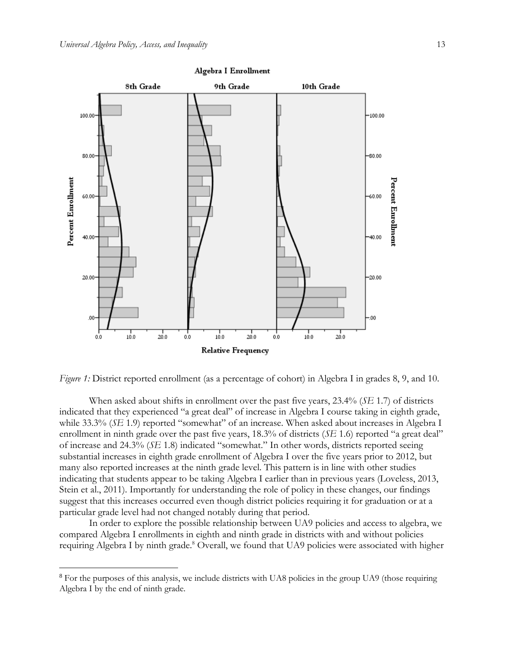$\overline{a}$ 



Algebra I Enrollment

*Figure 1:* District reported enrollment (as a percentage of cohort) in Algebra I in grades 8, 9, and 10.

When asked about shifts in enrollment over the past five years, 23.4% (*SE* 1.7) of districts indicated that they experienced "a great deal" of increase in Algebra I course taking in eighth grade, while 33.3% (*SE* 1.9) reported "somewhat" of an increase. When asked about increases in Algebra I enrollment in ninth grade over the past five years, 18.3% of districts (*SE* 1.6) reported "a great deal" of increase and 24.3% (*SE* 1.8) indicated "somewhat." In other words, districts reported seeing substantial increases in eighth grade enrollment of Algebra I over the five years prior to 2012, but many also reported increases at the ninth grade level. This pattern is in line with other studies indicating that students appear to be taking Algebra I earlier than in previous years (Loveless, 2013, Stein et al., 2011). Importantly for understanding the role of policy in these changes, our findings suggest that this increases occurred even though district policies requiring it for graduation or at a particular grade level had not changed notably during that period.

In order to explore the possible relationship between UA9 policies and access to algebra, we compared Algebra I enrollments in eighth and ninth grade in districts with and without policies requiring Algebra I by ninth grade.<sup>8</sup> Overall, we found that UA9 policies were associated with higher

<sup>&</sup>lt;sup>8</sup> For the purposes of this analysis, we include districts with UA8 policies in the group UA9 (those requiring Algebra I by the end of ninth grade.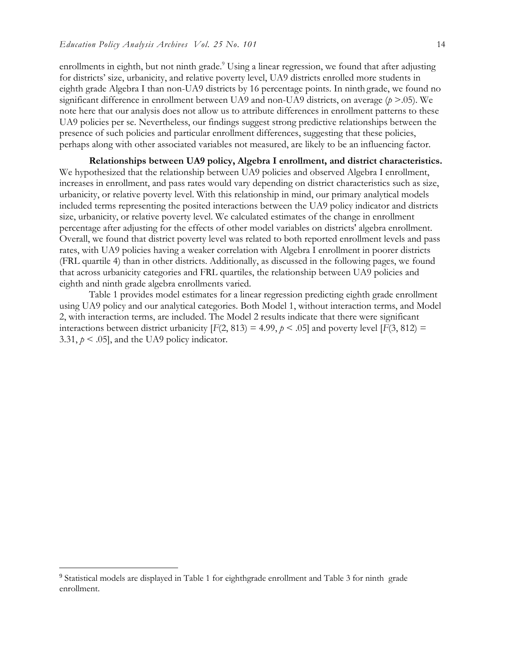enrollments in eighth, but not ninth grade.<sup>9</sup> Using a linear regression, we found that after adjusting for districts' size, urbanicity, and relative poverty level, UA9 districts enrolled more students in eighth grade Algebra I than non-UA9 districts by 16 percentage points. In ninth grade, we found no significant difference in enrollment between UA9 and non-UA9 districts, on average (*p* >.05). We note here that our analysis does not allow us to attribute differences in enrollment patterns to these UA9 policies per se. Nevertheless, our findings suggest strong predictive relationships between the presence of such policies and particular enrollment differences, suggesting that these policies, perhaps along with other associated variables not measured, are likely to be an influencing factor.

**Relationships between UA9 policy, Algebra I enrollment, and district characteristics.** We hypothesized that the relationship between UA9 policies and observed Algebra I enrollment, increases in enrollment, and pass rates would vary depending on district characteristics such as size, urbanicity, or relative poverty level. With this relationship in mind, our primary analytical models included terms representing the posited interactions between the UA9 policy indicator and districts size, urbanicity, or relative poverty level. We calculated estimates of the change in enrollment percentage after adjusting for the effects of other model variables on districts' algebra enrollment. Overall, we found that district poverty level was related to both reported enrollment levels and pass rates, with UA9 policies having a weaker correlation with Algebra I enrollment in poorer districts (FRL quartile 4) than in other districts. Additionally, as discussed in the following pages, we found that across urbanicity categories and FRL quartiles, the relationship between UA9 policies and eighth and ninth grade algebra enrollments varied.

Table 1 provides model estimates for a linear regression predicting eighth grade enrollment using UA9 policy and our analytical categories. Both Model 1, without interaction terms, and Model 2, with interaction terms, are included. The Model 2 results indicate that there were significant interactions between district urbanicity  $[F(2, 813) = 4.99, p \lt 0.05]$  and poverty level  $[F(3, 812) =$ 3.31,  $p \le 0.05$ , and the UA9 policy indicator.

 $\overline{a}$ 

<sup>&</sup>lt;sup>9</sup> Statistical models are displayed in Table 1 for eighthgrade enrollment and Table 3 for ninth grade enrollment.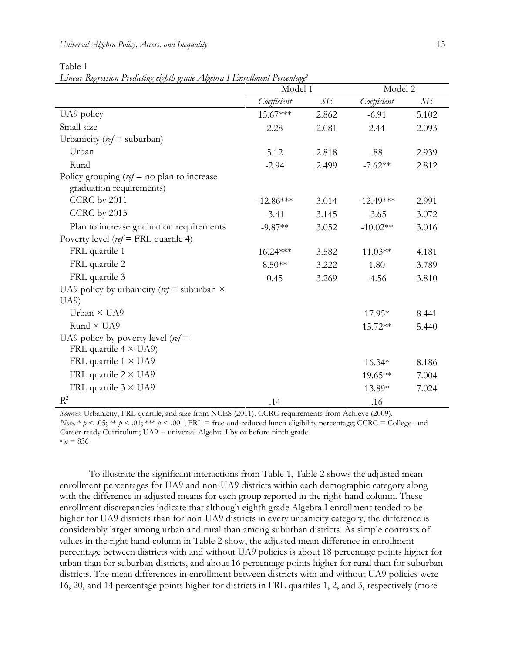| Universal Algebra Policy, Access, and Inequality |  |
|--------------------------------------------------|--|
|                                                  |  |

Table 1

*Linear Regression Predicting eighth grade Algebra I Enrollment Percentage<sup>q</sup>*

|                                                                           | Model 1     |       | Model 2     |       |
|---------------------------------------------------------------------------|-------------|-------|-------------|-------|
|                                                                           | Coefficient | SЕ    | Coefficient | SE    |
| UA9 policy                                                                | 15.67***    | 2.862 | $-6.91$     | 5.102 |
| Small size                                                                | 2.28        | 2.081 | 2.44        | 2.093 |
| Urbanicity ( $ref =$ suburban)                                            |             |       |             |       |
| Urban                                                                     | 5.12        | 2.818 | .88         | 2.939 |
| Rural                                                                     | $-2.94$     | 2.499 | $-7.62**$   | 2.812 |
| Policy grouping ( $ref = no$ plan to increase<br>graduation requirements) |             |       |             |       |
| CCRC by 2011                                                              | $-12.86***$ | 3.014 | $-12.49***$ | 2.991 |
| CCRC by 2015                                                              | $-3.41$     | 3.145 | $-3.65$     | 3.072 |
| Plan to increase graduation requirements                                  | $-9.87**$   | 3.052 | $-10.02**$  | 3.016 |
| Poverty level ( $ref = FRL$ quartile 4)                                   |             |       |             |       |
| FRL quartile 1                                                            | 16.24***    | 3.582 | $11.03**$   | 4.181 |
| FRL quartile 2                                                            | $8.50**$    | 3.222 | 1.80        | 3.789 |
| FRL quartile 3                                                            | 0.45        | 3.269 | $-4.56$     | 3.810 |
| UA9 policy by urbanicity ( $ref$ = suburban $\times$                      |             |       |             |       |
| U(A9)                                                                     |             |       |             |       |
| Urban $\times$ UA9                                                        |             |       | $17.95*$    | 8.441 |
| Rural $\times$ UA9                                                        |             |       | 15.72**     | 5.440 |
| UA9 policy by poverty level ( $ref$ =<br>FRL quartile $4 \times$ UA9)     |             |       |             |       |
| FRL quartile $1 \times U$ A9                                              |             |       | $16.34*$    | 8.186 |
| FRL quartile $2 \times U$ A9                                              |             |       | 19.65**     | 7.004 |
| FRL quartile $3 \times U$ A9                                              |             |       | 13.89*      | 7.024 |
| $R^2$                                                                     | .14         |       | .16         |       |

*Sources*: Urbanicity, FRL quartile, and size from NCES (2011). CCRC requirements from Achieve (2009). *Note.* \*  $p \le 0.05$ ; \*\*  $p \le 0.01$ ; \*\*\*  $p \le 0.001$ ; FRL = free-and-reduced lunch eligibility percentage; CCRC = College- and Career-ready Curriculum; UA9 = universal Algebra I by or before ninth grade  $n = 836$ 

To illustrate the significant interactions from Table 1, Table 2 shows the adjusted mean enrollment percentages for UA9 and non-UA9 districts within each demographic category along with the difference in adjusted means for each group reported in the right-hand column. These enrollment discrepancies indicate that although eighth grade Algebra I enrollment tended to be higher for UA9 districts than for non-UA9 districts in every urbanicity category, the difference is considerably larger among urban and rural than among suburban districts. As simple contrasts of values in the right-hand column in Table 2 show, the adjusted mean difference in enrollment percentage between districts with and without UA9 policies is about 18 percentage points higher for urban than for suburban districts, and about 16 percentage points higher for rural than for suburban districts. The mean differences in enrollment between districts with and without UA9 policies were 16, 20, and 14 percentage points higher for districts in FRL quartiles 1, 2, and 3, respectively (more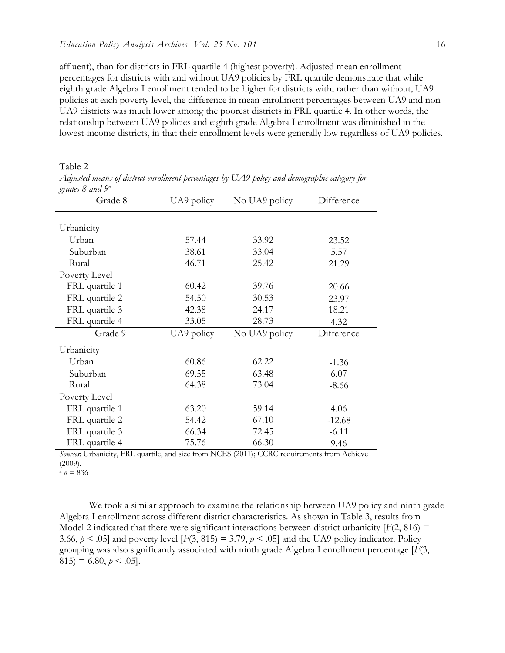affluent), than for districts in FRL quartile 4 (highest poverty). Adjusted mean enrollment percentages for districts with and without UA9 policies by FRL quartile demonstrate that while eighth grade Algebra I enrollment tended to be higher for districts with, rather than without, UA9 policies at each poverty level, the difference in mean enrollment percentages between UA9 and non-UA9 districts was much lower among the poorest districts in FRL quartile 4. In other words, the relationship between UA9 policies and eighth grade Algebra I enrollment was diminished in the lowest-income districts, in that their enrollment levels were generally low regardless of UA9 policies.

Table 2

| gruues o unu r |            |               |            |
|----------------|------------|---------------|------------|
| Grade 8        | UA9 policy | No UA9 policy | Difference |
|                |            |               |            |
| Urbanicity     |            |               |            |
| Urban          | 57.44      | 33.92         | 23.52      |
| Suburban       | 38.61      | 33.04         | 5.57       |
| Rural          | 46.71      | 25.42         | 21.29      |
| Poverty Level  |            |               |            |
| FRL quartile 1 | 60.42      | 39.76         | 20.66      |
| FRL quartile 2 | 54.50      | 30.53         | 23.97      |
| FRL quartile 3 | 42.38      | 24.17         | 18.21      |
| FRL quartile 4 | 33.05      | 28.73         | 4.32       |
| Grade 9        | UA9 policy | No UA9 policy | Difference |
| Urbanicity     |            |               |            |
| Urban          | 60.86      | 62.22         | $-1.36$    |
| Suburban       | 69.55      | 63.48         | 6.07       |
| Rural          | 64.38      | 73.04         | $-8.66$    |
| Poverty Level  |            |               |            |
| FRL quartile 1 | 63.20      | 59.14         | 4.06       |
| FRL quartile 2 | 54.42      | 67.10         | $-12.68$   |
| FRL quartile 3 | 66.34      | 72.45         | $-6.11$    |
| FRL quartile 4 | 75.76      | 66.30         | 9.46       |

*Adjusted means of district enrollment percentages by UA9 policy and demographic category for grades 8 and 9<sup>a</sup>*

*Sources*: Urbanicity, FRL quartile, and size from NCES (2011); CCRC requirements from Achieve (2009).

 $n = 836$ 

We took a similar approach to examine the relationship between UA9 policy and ninth grade Algebra I enrollment across different district characteristics. As shown in Table 3, results from Model 2 indicated that there were significant interactions between district urbanicity  $[F(2, 816) =$ 3.66,  $p \le 0.05$  and poverty level  $[F(3, 815) = 3.79, p \le 0.05]$  and the UA9 policy indicator. Policy grouping was also significantly associated with ninth grade Algebra I enrollment percentage [*F*(3,  $815$ ) = 6.80,  $p < .05$ ].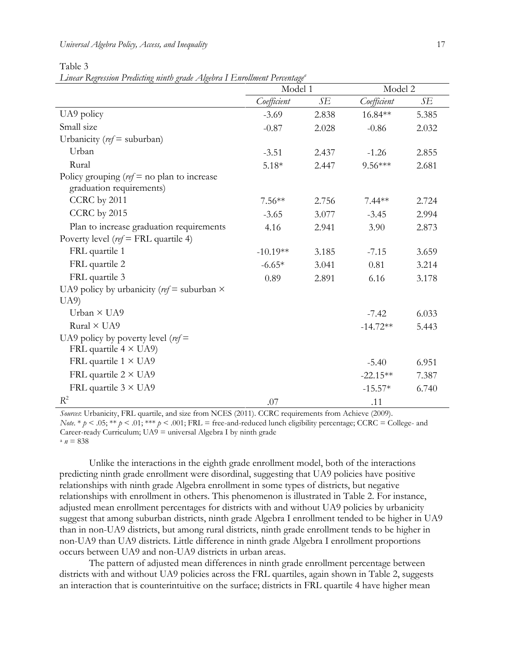#### *Universal Algebra Policy, Access, and Inequality* 17

Table 3

*Linear Regression Predicting ninth grade Algebra I Enrollment Percentage<sup>a</sup>*

|                                                                           | Model 1     |       | Model 2     |       |
|---------------------------------------------------------------------------|-------------|-------|-------------|-------|
|                                                                           | Coefficient | SE    | Coefficient | SE    |
| UA9 policy                                                                | $-3.69$     | 2.838 | 16.84**     | 5.385 |
| Small size                                                                | $-0.87$     | 2.028 | $-0.86$     | 2.032 |
| Urbanicity ( $ref =$ suburban)                                            |             |       |             |       |
| Urban                                                                     | $-3.51$     | 2.437 | $-1.26$     | 2.855 |
| Rural                                                                     | $5.18*$     | 2.447 | $9.56***$   | 2.681 |
| Policy grouping ( $ref = no$ plan to increase<br>graduation requirements) |             |       |             |       |
| CCRC by 2011                                                              | $7.56**$    | 2.756 | $7.44**$    | 2.724 |
| CCRC by 2015                                                              | $-3.65$     | 3.077 | $-3.45$     | 2.994 |
| Plan to increase graduation requirements                                  | 4.16        | 2.941 | 3.90        | 2.873 |
| Poverty level ( $ref = FRL$ quartile 4)                                   |             |       |             |       |
| FRL quartile 1                                                            | $-10.19**$  | 3.185 | $-7.15$     | 3.659 |
| FRL quartile 2                                                            | $-6.65*$    | 3.041 | 0.81        | 3.214 |
| FRL quartile 3                                                            | 0.89        | 2.891 | 6.16        | 3.178 |
| UA9 policy by urbanicity ( $ref$ = suburban $\times$                      |             |       |             |       |
| U(A9)                                                                     |             |       |             |       |
| Urban $\times$ UA9                                                        |             |       | $-7.42$     | 6.033 |
| Rural × UA9                                                               |             |       | $-14.72**$  | 5.443 |
| UA9 policy by poverty level ( $ref$ =<br>FRL quartile $4 \times$ UA9)     |             |       |             |       |
| FRL quartile $1 \times U$ A9                                              |             |       | $-5.40$     | 6.951 |
| FRL quartile $2 \times U$ A9                                              |             |       | $-22.15**$  | 7.387 |
| FRL quartile $3 \times U$ A9                                              |             |       | $-15.57*$   | 6.740 |
| $R^2$                                                                     | .07         |       | .11         |       |

*Sources*: Urbanicity, FRL quartile, and size from NCES (2011). CCRC requirements from Achieve (2009). *Note.* \*  $p$  < .05; \*\*  $p$  < .01; \*\*\*  $p$  < .001; FRL = free-and-reduced lunch eligibility percentage; CCRC = College- and Career-ready Curriculum;  $U A9$  = universal Algebra I by ninth grade  $n = 838$ 

Unlike the interactions in the eighth grade enrollment model, both of the interactions predicting ninth grade enrollment were disordinal, suggesting that UA9 policies have positive relationships with ninth grade Algebra enrollment in some types of districts, but negative relationships with enrollment in others. This phenomenon is illustrated in Table 2. For instance, adjusted mean enrollment percentages for districts with and without UA9 policies by urbanicity suggest that among suburban districts, ninth grade Algebra I enrollment tended to be higher in UA9 than in non-UA9 districts, but among rural districts, ninth grade enrollment tends to be higher in non-UA9 than UA9 districts. Little difference in ninth grade Algebra I enrollment proportions occurs between UA9 and non-UA9 districts in urban areas.

The pattern of adjusted mean differences in ninth grade enrollment percentage between districts with and without UA9 policies across the FRL quartiles, again shown in Table 2, suggests an interaction that is counterintuitive on the surface; districts in FRL quartile 4 have higher mean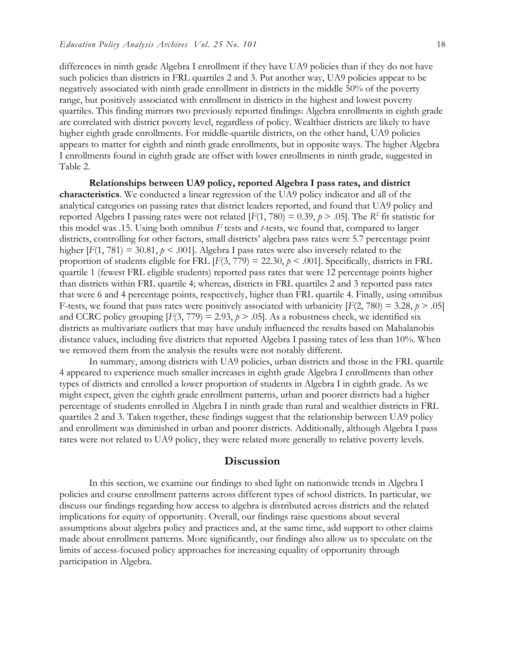differences in ninth grade Algebra I enrollment if they have UA9 policies than if they do not have such policies than districts in FRL quartiles 2 and 3. Put another way, UA9 policies appear to be negatively associated with ninth grade enrollment in districts in the middle 50% of the poverty range, but positively associated with enrollment in districts in the highest and lowest poverty quartiles. This finding mirrors two previously reported findings: Algebra enrollments in eighth grade are correlated with district poverty level, regardless of policy. Wealthier districts are likely to have higher eighth grade enrollments. For middle-quartile districts, on the other hand, UA9 policies appears to matter for eighth and ninth grade enrollments, but in opposite ways. The higher Algebra I enrollments found in eighth grade are offset with lower enrollments in ninth grade, suggested in Table 2.

**Relationships between UA9 policy, reported Algebra I pass rates, and district characteristics**. We conducted a linear regression of the UA9 policy indicator and all of the analytical categories on passing rates that district leaders reported, and found that UA9 policy and reported Algebra I passing rates were not related  $[F(1, 780) = 0.39, p > .05]$ . The *R*<sup>2</sup> fit statistic for this model was .15. Using both omnibus *F* tests and *t*-tests, we found that, compared to larger districts, controlling for other factors, small districts' algebra pass rates were 5.7 percentage point higher  $[F(1, 781) = 30.81$ ,  $p \le 0.001$ . Algebra I pass rates were also inversely related to the proportion of students eligible for FRL  $[F(3, 779) = 22.30, p \le .001]$ . Specifically, districts in FRL quartile 1 (fewest FRL eligible students) reported pass rates that were 12 percentage points higher than districts within FRL quartile 4; whereas, districts in FRL quartiles 2 and 3 reported pass rates that were 6 and 4 percentage points, respectively, higher than FRL quartile 4. Finally, using omnibus F-tests, we found that pass rates were positively associated with urbanicity  $[F(2, 780) = 3.28, p > .05]$ and CCRC policy grouping  $[F(3, 779) = 2.93, p > .05]$ . As a robustness check, we identified six districts as multivariate outliers that may have unduly influenced the results based on Mahalanobis distance values, including five districts that reported Algebra I passing rates of less than 10%. When we removed them from the analysis the results were not notably different.

In summary, among districts with UA9 policies, urban districts and those in the FRL quartile 4 appeared to experience much smaller increases in eighth grade Algebra I enrollments than other types of districts and enrolled a lower proportion of students in Algebra I in eighth grade. As we might expect, given the eighth grade enrollment patterns, urban and poorer districts had a higher percentage of students enrolled in Algebra I in ninth grade than rural and wealthier districts in FRL quartiles 2 and 3. Taken together, these findings suggest that the relationship between UA9 policy and enrollment was diminished in urban and poorer districts. Additionally, although Algebra I pass rates were not related to UA9 policy, they were related more generally to relative poverty levels.

### **Discussion**

In this section, we examine our findings to shed light on nationwide trends in Algebra I policies and course enrollment patterns across different types of school districts. In particular, we discuss our findings regarding how access to algebra is distributed across districts and the related implications for equity of opportunity. Overall, our findings raise questions about several assumptions about algebra policy and practices and, at the same time, add support to other claims made about enrollment patterns. More significantly, our findings also allow us to speculate on the limits of access-focused policy approaches for increasing equality of opportunity through participation in Algebra.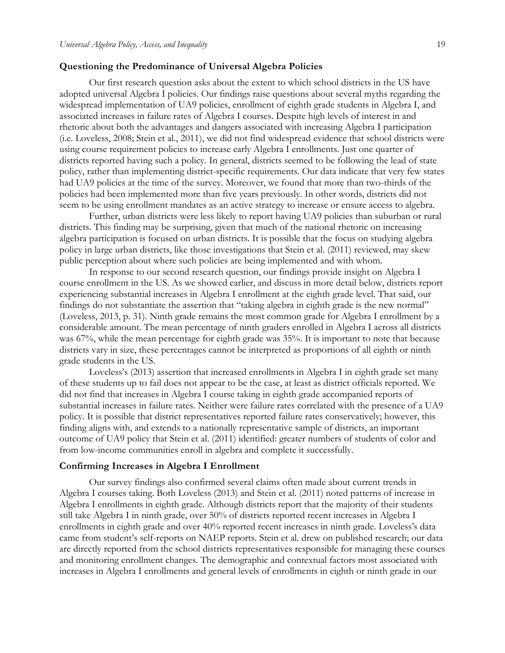#### **Questioning the Predominance of Universal Algebra Policies**

Our first research question asks about the extent to which school districts in the US have adopted universal Algebra I policies. Our findings raise questions about several myths regarding the widespread implementation of UA9 policies, enrollment of eighth grade students in Algebra I, and associated increases in failure rates of Algebra I courses. Despite high levels of interest in and rhetoric about both the advantages and dangers associated with increasing Algebra I participation (i.e. Loveless, 2008; Stein et al., 2011), we did not find widespread evidence that school districts were using course requirement policies to increase early Algebra I enrollments. Just one quarter of districts reported having such a policy. In general, districts seemed to be following the lead of state policy, rather than implementing district-specific requirements. Our data indicate that very few states had UA9 policies at the time of the survey. Moreover, we found that more than two-thirds of the policies had been implemented more than five years previously. In other words, districts did not seem to be using enrollment mandates as an active strategy to increase or ensure access to algebra.

Further, urban districts were less likely to report having UA9 policies than suburban or rural districts. This finding may be surprising, given that much of the national rhetoric on increasing algebra participation is focused on urban districts. It is possible that the focus on studying algebra policy in large urban districts, like those investigations that Stein et al. (2011) reviewed, may skew public perception about where such policies are being implemented and with whom.

In response to our second research question, our findings provide insight on Algebra I course enrollment in the US. As we showed earlier, and discuss in more detail below, districts report experiencing substantial increases in Algebra I enrollment at the eighth grade level. That said, our findings do not substantiate the assertion that "taking algebra in eighth grade is the new normal" (Loveless, 2013, p. 31). Ninth grade remains the most common grade for Algebra I enrollment by a considerable amount. The mean percentage of ninth graders enrolled in Algebra I across all districts was 67%, while the mean percentage for eighth grade was 35%. It is important to note that because districts vary in size, these percentages cannot be interpreted as proportions of all eighth or ninth grade students in the US.

Loveless's (2013) assertion that increased enrollments in Algebra I in eighth grade set many of these students up to fail does not appear to be the case, at least as district officials reported. We did not find that increases in Algebra I course taking in eighth grade accompanied reports of substantial increases in failure rates. Neither were failure rates correlated with the presence of a UA9 policy. It is possible that district representatives reported failure rates conservatively; however, this finding aligns with, and extends to a nationally representative sample of districts, an important outcome of UA9 policy that Stein et al. (2011) identified: greater numbers of students of color and from low-income communities enroll in algebra and complete it successfully.

#### **Confirming Increases in Algebra I Enrollment**

Our survey findings also confirmed several claims often made about current trends in Algebra I courses taking. Both Loveless (2013) and Stein et al. (2011) noted patterns of increase in Algebra I enrollments in eighth grade. Although districts report that the majority of their students still take Algebra I in ninth grade, over 50% of districts reported recent increases in Algebra I enrollments in eighth grade and over 40% reported recent increases in ninth grade. Loveless's data came from student's self-reports on NAEP reports. Stein et al. drew on published research; our data are directly reported from the school districts representatives responsible for managing these courses and monitoring enrollment changes. The demographic and contextual factors most associated with increases in Algebra I enrollments and general levels of enrollments in eighth or ninth grade in our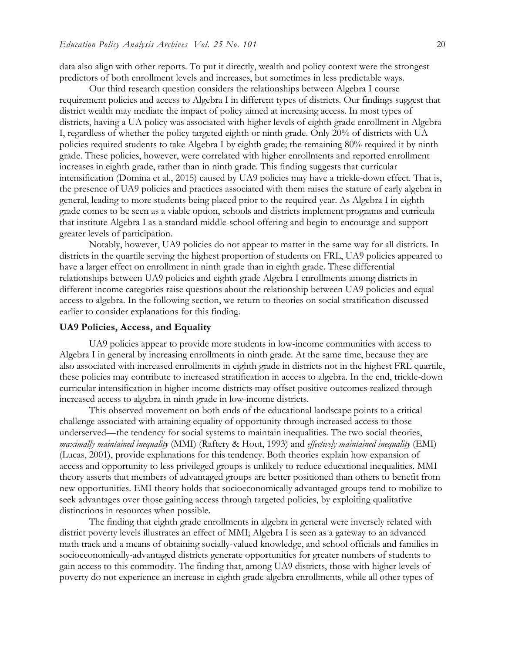data also align with other reports. To put it directly, wealth and policy context were the strongest predictors of both enrollment levels and increases, but sometimes in less predictable ways.

Our third research question considers the relationships between Algebra I course requirement policies and access to Algebra I in different types of districts. Our findings suggest that district wealth may mediate the impact of policy aimed at increasing access. In most types of districts, having a UA policy was associated with higher levels of eighth grade enrollment in Algebra I, regardless of whether the policy targeted eighth or ninth grade. Only 20% of districts with UA policies required students to take Algebra I by eighth grade; the remaining 80% required it by ninth grade. These policies, however, were correlated with higher enrollments and reported enrollment increases in eighth grade, rather than in ninth grade. This finding suggests that curricular intensification (Domina et al., 2015) caused by UA9 policies may have a trickle-down effect. That is, the presence of UA9 policies and practices associated with them raises the stature of early algebra in general, leading to more students being placed prior to the required year. As Algebra I in eighth grade comes to be seen as a viable option, schools and districts implement programs and curricula that institute Algebra I as a standard middle-school offering and begin to encourage and support greater levels of participation.

Notably, however, UA9 policies do not appear to matter in the same way for all districts. In districts in the quartile serving the highest proportion of students on FRL, UA9 policies appeared to have a larger effect on enrollment in ninth grade than in eighth grade. These differential relationships between UA9 policies and eighth grade Algebra I enrollments among districts in different income categories raise questions about the relationship between UA9 policies and equal access to algebra. In the following section, we return to theories on social stratification discussed earlier to consider explanations for this finding.

#### **UA9 Policies, Access, and Equality**

UA9 policies appear to provide more students in low-income communities with access to Algebra I in general by increasing enrollments in ninth grade. At the same time, because they are also associated with increased enrollments in eighth grade in districts not in the highest FRL quartile, these policies may contribute to increased stratification in access to algebra. In the end, trickle-down curricular intensification in higher-income districts may offset positive outcomes realized through increased access to algebra in ninth grade in low-income districts.

This observed movement on both ends of the educational landscape points to a critical challenge associated with attaining equality of opportunity through increased access to those underserved—the tendency for social systems to maintain inequalities. The two social theories, *maximally maintained inequality* (MMI) (Raftery & Hout, 1993) and *effectively maintained inequality* (EMI) (Lucas, 2001), provide explanations for this tendency. Both theories explain how expansion of access and opportunity to less privileged groups is unlikely to reduce educational inequalities. MMI theory asserts that members of advantaged groups are better positioned than others to benefit from new opportunities. EMI theory holds that socioeconomically advantaged groups tend to mobilize to seek advantages over those gaining access through targeted policies, by exploiting qualitative distinctions in resources when possible.

The finding that eighth grade enrollments in algebra in general were inversely related with district poverty levels illustrates an effect of MMI; Algebra I is seen as a gateway to an advanced math track and a means of obtaining socially-valued knowledge, and school officials and families in socioeconomically-advantaged districts generate opportunities for greater numbers of students to gain access to this commodity. The finding that, among UA9 districts, those with higher levels of poverty do not experience an increase in eighth grade algebra enrollments, while all other types of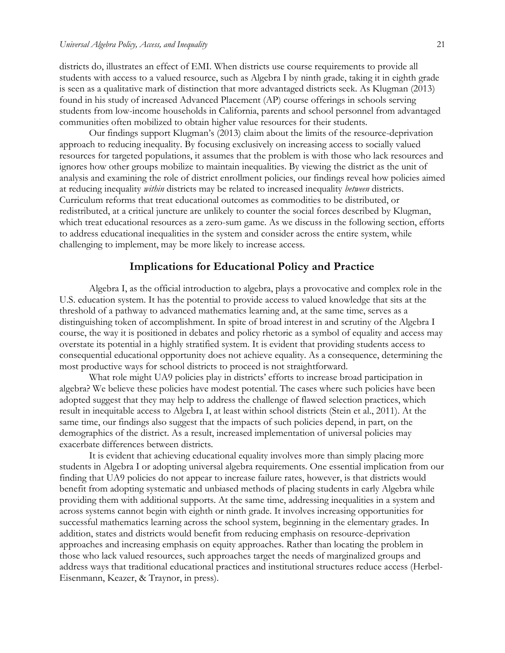districts do, illustrates an effect of EMI. When districts use course requirements to provide all students with access to a valued resource, such as Algebra I by ninth grade, taking it in eighth grade is seen as a qualitative mark of distinction that more advantaged districts seek. As Klugman (2013) found in his study of increased Advanced Placement (AP) course offerings in schools serving students from low-income households in California, parents and school personnel from advantaged communities often mobilized to obtain higher value resources for their students.

Our findings support Klugman's (2013) claim about the limits of the resource-deprivation approach to reducing inequality. By focusing exclusively on increasing access to socially valued resources for targeted populations, it assumes that the problem is with those who lack resources and ignores how other groups mobilize to maintain inequalities. By viewing the district as the unit of analysis and examining the role of district enrollment policies, our findings reveal how policies aimed at reducing inequality *within* districts may be related to increased inequality *between* districts. Curriculum reforms that treat educational outcomes as commodities to be distributed, or redistributed, at a critical juncture are unlikely to counter the social forces described by Klugman, which treat educational resources as a zero-sum game. As we discuss in the following section, efforts to address educational inequalities in the system and consider across the entire system, while challenging to implement, may be more likely to increase access.

## **Implications for Educational Policy and Practice**

Algebra I, as the official introduction to algebra, plays a provocative and complex role in the U.S. education system. It has the potential to provide access to valued knowledge that sits at the threshold of a pathway to advanced mathematics learning and, at the same time, serves as a distinguishing token of accomplishment. In spite of broad interest in and scrutiny of the Algebra I course, the way it is positioned in debates and policy rhetoric as a symbol of equality and access may overstate its potential in a highly stratified system. It is evident that providing students access to consequential educational opportunity does not achieve equality. As a consequence, determining the most productive ways for school districts to proceed is not straightforward.

What role might UA9 policies play in districts' efforts to increase broad participation in algebra? We believe these policies have modest potential. The cases where such policies have been adopted suggest that they may help to address the challenge of flawed selection practices, which result in inequitable access to Algebra I, at least within school districts (Stein et al., 2011). At the same time, our findings also suggest that the impacts of such policies depend, in part, on the demographics of the district. As a result, increased implementation of universal policies may exacerbate differences between districts.

It is evident that achieving educational equality involves more than simply placing more students in Algebra I or adopting universal algebra requirements. One essential implication from our finding that UA9 policies do not appear to increase failure rates, however, is that districts would benefit from adopting systematic and unbiased methods of placing students in early Algebra while providing them with additional supports. At the same time, addressing inequalities in a system and across systems cannot begin with eighth or ninth grade. It involves increasing opportunities for successful mathematics learning across the school system, beginning in the elementary grades. In addition, states and districts would benefit from reducing emphasis on resource-deprivation approaches and increasing emphasis on equity approaches. Rather than locating the problem in those who lack valued resources, such approaches target the needs of marginalized groups and address ways that traditional educational practices and institutional structures reduce access (Herbel-Eisenmann, Keazer, & Traynor, in press).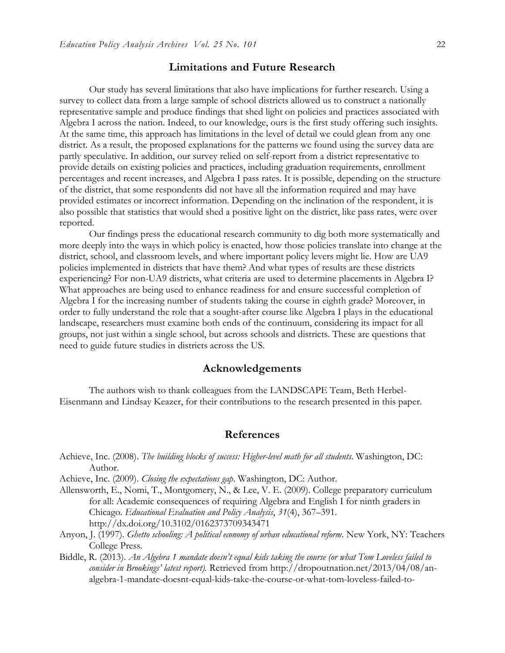# **Limitations and Future Research**

Our study has several limitations that also have implications for further research. Using a survey to collect data from a large sample of school districts allowed us to construct a nationally representative sample and produce findings that shed light on policies and practices associated with Algebra I across the nation. Indeed, to our knowledge, ours is the first study offering such insights. At the same time, this approach has limitations in the level of detail we could glean from any one district. As a result, the proposed explanations for the patterns we found using the survey data are partly speculative. In addition, our survey relied on self-report from a district representative to provide details on existing policies and practices, including graduation requirements, enrollment percentages and recent increases, and Algebra I pass rates. It is possible, depending on the structure of the district, that some respondents did not have all the information required and may have provided estimates or incorrect information. Depending on the inclination of the respondent, it is also possible that statistics that would shed a positive light on the district, like pass rates, were over reported.

Our findings press the educational research community to dig both more systematically and more deeply into the ways in which policy is enacted, how those policies translate into change at the district, school, and classroom levels, and where important policy levers might lie. How are UA9 policies implemented in districts that have them? And what types of results are these districts experiencing? For non-UA9 districts, what criteria are used to determine placements in Algebra I? What approaches are being used to enhance readiness for and ensure successful completion of Algebra I for the increasing number of students taking the course in eighth grade? Moreover, in order to fully understand the role that a sought-after course like Algebra I plays in the educational landscape, researchers must examine both ends of the continuum, considering its impact for all groups, not just within a single school, but across schools and districts. These are questions that need to guide future studies in districts across the US.

# **Acknowledgements**

The authors wish to thank colleagues from the LANDSCAPE Team, Beth Herbel-Eisenmann and Lindsay Keazer, for their contributions to the research presented in this paper.

### **References**

- Achieve, Inc. (2008). *The building blocks of success: Higher-level math for all students*. Washington, DC: Author.
- Achieve, Inc. (2009). *Closing the expectations gap*. Washington, DC: Author.
- Allensworth, E., Nomi, T., Montgomery, N., & Lee, V. E. (2009). College preparatory curriculum for all: Academic consequences of requiring Algebra and English I for ninth graders in Chicago. *Educational Evaluation and Policy Analysis*, *31*(4), 367–391. http://dx.doi.org/10.3102/0162373709343471
- Anyon, J. (1997). *Ghetto schooling: A political economy of urban educational reform*. New York, NY: Teachers College Press.
- Biddle, R. (2013). *An Algebra 1 mandate doesn't equal kids taking the course (or what Tom Loveless failed to consider in Brookings' latest report).* Retrieved from http://dropoutnation.net/2013/04/08/analgebra-1-mandate-doesnt-equal-kids-take-the-course-or-what-tom-loveless-failed-to-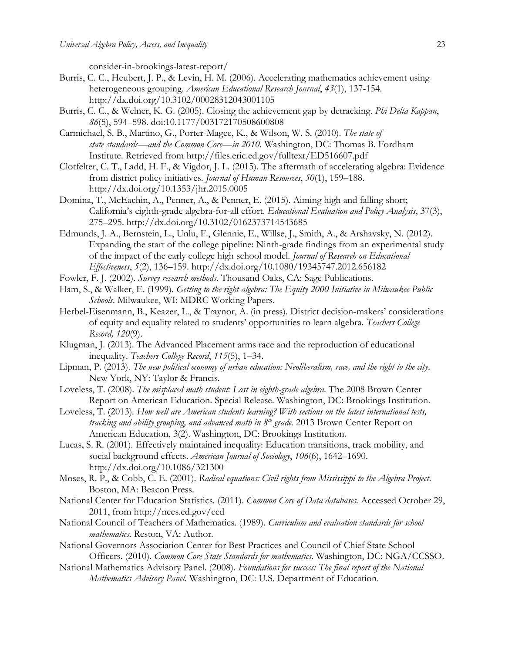consider-in-brookings-latest-report/

- Burris, C. C., Heubert, J. P., & Levin, H. M. (2006). Accelerating mathematics achievement using heterogeneous grouping. *American Educational Research Journal*, *43*(1), 137-154. http://dx.doi.org/10.3102/00028312043001105
- Burris, C. C., & Welner, K. G. (2005). Closing the achievement gap by detracking. *Phi Delta Kappan*, *86*(5), 594–598. doi:10.1177/003172170508600808
- Carmichael, S. B., Martino, G., Porter-Magee, K., & Wilson, W. S. (2010). *The state of state standards—and the Common Core—in 2010*. Washington, DC: Thomas B. Fordham Institute. Retrieved from http://files.eric.ed.gov/fulltext/ED516607.pdf
- Clotfelter, C. T., Ladd, H. F., & Vigdor, J. L. (2015). The aftermath of accelerating algebra: Evidence from district policy initiatives. *Journal of Human Resources*, *50*(1), 159–188. http://dx.doi.org/10.1353/jhr.2015.0005
- Domina, T., McEachin, A., Penner, A., & Penner, E. (2015). Aiming high and falling short; California's eighth-grade algebra-for-all effort. *Educational Evaluation and Policy Analysis*, 37(3), 275–295. http://dx.doi.org/10.3102/0162373714543685
- Edmunds, J. A., Bernstein, L., Unlu, F., Glennie, E., Willse, J., Smith, A., & Arshavsky, N. (2012). Expanding the start of the college pipeline: Ninth-grade findings from an experimental study of the impact of the early college high school model. *Journal of Research on Educational Effectiveness*, *5*(2), 136–159. http://dx.doi.org/10.1080/19345747.2012.656182
- Fowler, F. J. (2002). *Survey research methods*. Thousand Oaks, CA: Sage Publications.
- Ham, S., & Walker, E. (1999). *Getting to the right algebra: The Equity 2000 Initiative in Milwaukee Public Schools*. Milwaukee, WI: MDRC Working Papers.
- Herbel-Eisenmann, B., Keazer, L., & Traynor, A. (in press). District decision-makers' considerations of equity and equality related to students' opportunities to learn algebra. *Teachers College Record, 120*(9).
- Klugman, J. (2013). The Advanced Placement arms race and the reproduction of educational inequality. *Teachers College Record*, *115*(5), 1–34.
- Lipman, P. (2013). *The new political economy of urban education: Neoliberalism, race, and the right to the city*. New York, NY: Taylor & Francis.
- Loveless, T. (2008). *The misplaced math student: Lost in eighth-grade algebra*. The 2008 Brown Center Report on American Education. Special Release. Washington, DC: Brookings Institution.
- Loveless, T. (2013)*. How well are American students learning? With sections on the latest international tests, tracking and ability grouping, and advanced math in 8th grade.* 2013 Brown Center Report on American Education, 3(2). Washington, DC: Brookings Institution.
- Lucas, S. R. (2001). Effectively maintained inequality: Education transitions, track mobility, and social background effects. *American Journal of Sociology*, *106*(6), 1642–1690. http://dx.doi.org/10.1086/321300
- Moses, R. P., & Cobb, C. E. (2001). *Radical equations: Civil rights from Mississippi to the Algebra Project*. Boston, MA: Beacon Press.
- National Center for Education Statistics. (2011). *Common Core of Data databases.* Accessed October 29, 2011, from http://nces.ed.gov/ccd
- National Council of Teachers of Mathematics. (1989). *Curriculum and evaluation standards for school mathematics.* Reston, VA: Author.
- National Governors Association Center for Best Practices and Council of Chief State School Officers. (2010). *Common Core State Standards for mathematics*. Washington, DC: NGA/CCSSO.
- National Mathematics Advisory Panel. (2008). *Foundations for success: The final report of the National Mathematics Advisory Panel.* Washington, DC: U.S. Department of Education.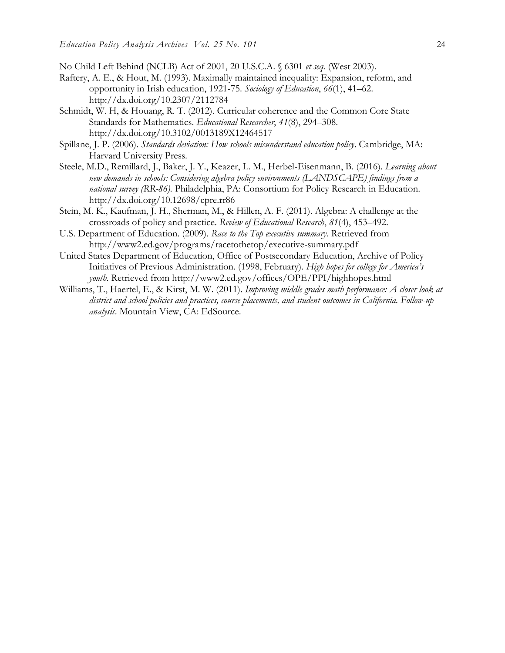No Child Left Behind (NCLB) Act of 2001, 20 U.S.C.A. § 6301 *et seq.* (West 2003).

- Raftery, A. E., & Hout, M. (1993). Maximally maintained inequality: Expansion, reform, and opportunity in Irish education, 1921-75. *Sociology of Education*, *66*(1), 41–62. http://dx.doi.org/10.2307/2112784
- Schmidt, W. H, & Houang, R. T. (2012). Curricular coherence and the Common Core State Standards for Mathematics. *Educational Researcher*, *41*(8), 294–308. http://dx.doi.org/10.3102/0013189X12464517
- Spillane, J. P. (2006). *Standards deviation: How schools misunderstand education policy*. Cambridge, MA: Harvard University Press.
- Steele, M.D., Remillard, J., Baker, J. Y., Keazer, L. M., Herbel-Eisenmann, B. (2016). *Learning about new demands in schools: Considering algebra policy environments (LANDSCAPE) findings from a national survey (RR-86).* Philadelphia, PA: Consortium for Policy Research in Education. http://dx.doi.org/10.12698/cpre.rr86
- Stein, M. K., Kaufman, J. H., Sherman, M., & Hillen, A. F. (2011). Algebra: A challenge at the crossroads of policy and practice. *Review of Educational Research*, *81*(4), 453–492.
- U.S. Department of Education. (2009). *Race to the Top executive summary.* Retrieved from http://www2.ed.gov/programs/racetothetop/executive-summary.pdf
- United States Department of Education, Office of Postsecondary Education, Archive of Policy Initiatives of Previous Administration. (1998, February). *High hopes for college for America's youth.* Retrieved from http://www2.ed.gov/offices/OPE/PPI/highhopes.html
- Williams, T., Haertel, E., & Kirst, M. W. (2011). *Improving middle grades math performance: A closer look at district and school policies and practices, course placements, and student outcomes in California. Follow-up analysis*. Mountain View, CA: EdSource.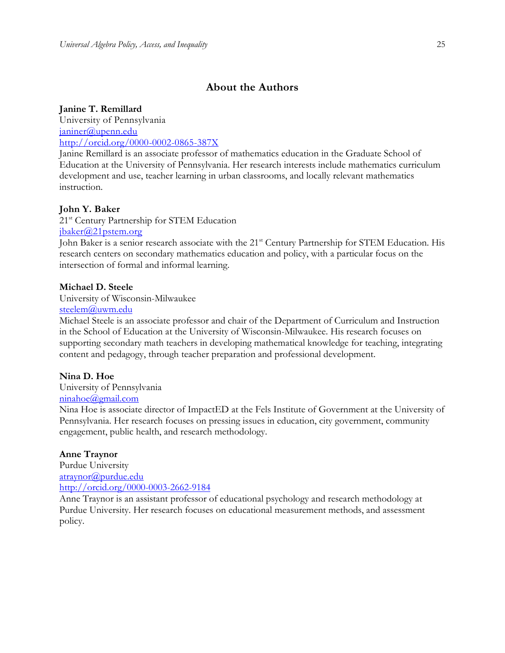# **About the Authors**

#### **Janine T. Remillard**

University of Pennsylvania janiner@upenn.edu <http://orcid.org/0000-0002-0865-387X>

Janine Remillard is an associate professor of mathematics education in the Graduate School of Education at the University of Pennsylvania. Her research interests include mathematics curriculum development and use, teacher learning in urban classrooms, and locally relevant mathematics instruction.

#### **John Y. Baker**

21<sup>st</sup> Century Partnership for STEM Education

## [jbaker@21pstem.org](mailto:jbaker@21pstem.org)

John Baker is a senior research associate with the 21<sup>st</sup> Century Partnership for STEM Education. His research centers on secondary mathematics education and policy, with a particular focus on the intersection of formal and informal learning.

#### **Michael D. Steele**

University of Wisconsin-Milwaukee

# [steelem@uwm.edu](mailto:steelem@uwm.edu)

Michael Steele is an associate professor and chair of the Department of Curriculum and Instruction in the School of Education at the University of Wisconsin-Milwaukee. His research focuses on supporting secondary math teachers in developing mathematical knowledge for teaching, integrating content and pedagogy, through teacher preparation and professional development.

#### **Nina D. Hoe**

University of Pennsylvania

# [ninahoe@gmail.com](mailto:ninahoe@gmail.com)

Nina Hoe is associate director of ImpactED at the Fels Institute of Government at the University of Pennsylvania. Her research focuses on pressing issues in education, city government, community engagement, public health, and research methodology.

#### **Anne Traynor**

Purdue University [atraynor@purdue.edu](mailto:atraynor@purdue.edu) <http://orcid.org/0000-0003-2662-9184>

Anne Traynor is an assistant professor of educational psychology and research methodology at Purdue University. Her research focuses on educational measurement methods, and assessment policy.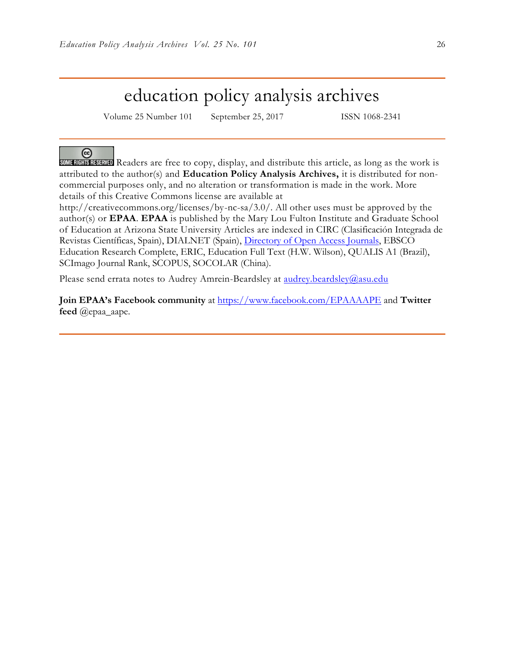# education policy analysis archives

Volume 25 Number 101 September 25, 2017 ISSN 1068-2341

### ര

SOME RIGHTS RESERVED Readers are free to copy, display, and distribute this article, as long as the work is attributed to the author(s) and **Education Policy Analysis Archives,** it is distributed for noncommercial purposes only, and no alteration or transformation is made in the work. More details of this Creative Commons license are available at

http://creativecommons.org/licenses/by-nc-sa/3.0/. All other uses must be approved by the author(s) or **EPAA**. **EPAA** is published by the Mary Lou Fulton Institute and Graduate School of Education at Arizona State University Articles are indexed in CIRC (Clasificación Integrada de Revistas Científicas, Spain), DIALNET (Spain), [Directory of Open Access Journals,](http://www.doaj.org/) EBSCO Education Research Complete, ERIC, Education Full Text (H.W. Wilson), QUALIS A1 (Brazil), SCImago Journal Rank, SCOPUS, SOCOLAR (China).

Please send errata notes to Audrey Amrein-Beardsley at [audrey.beardsley@asu.edu](mailto:audrey.beardsley@asu.edu)

**Join EPAA's Facebook community** at<https://www.facebook.com/EPAAAAPE> and **Twitter feed** @epaa\_aape.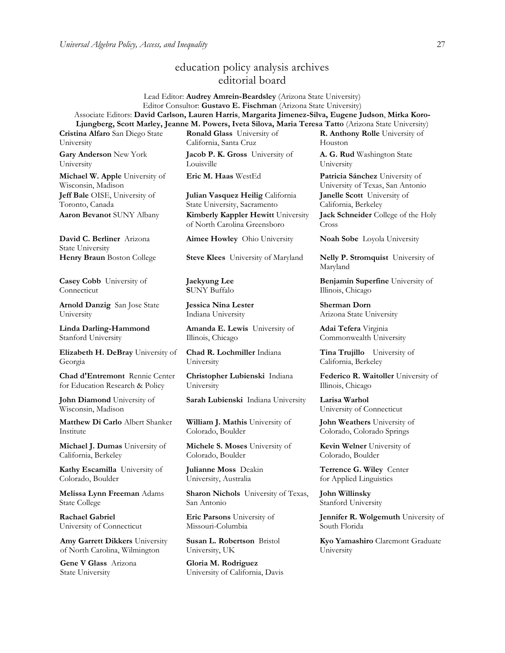# education policy analysis archives editorial board

Lead Editor: **Audrey Amrein-Beardsley** (Arizona State University) Editor Consultor: **Gustavo E. Fischman** (Arizona State University) Associate Editors: **David Carlson, Lauren Harris**, **Margarita Jimenez-Silva, Eugene Judson**, **Mirka Koro-Ljungberg, Scott Marley, Jeanne M. Powers, Iveta Silova, Maria Teresa Tatto** (Arizona State University)

**Cristina Alfaro** San Diego State University

**Gary Anderson** New York University

**Michael W. Apple** University of Wisconsin, Madison **Jeff Bale** OISE, University of Toronto, Canada

**David C. Berliner** Arizona State University

**Casey Cobb** University of **Connecticut** 

**Arnold Danzig** San Jose State University

**Linda Darling-Hammond**  Stanford University

**Elizabeth H. DeBray** University of Georgia

**Chad d'Entremont** Rennie Center for Education Research & Policy

**John Diamond** University of Wisconsin, Madison

**Matthew Di Carlo** Albert Shanker Institute

**Michael J. Dumas** University of California, Berkeley

**Kathy Escamilla** University of Colorado, Boulder

**Melissa Lynn Freeman** Adams State College

**Rachael Gabriel** University of Connecticut

**Amy Garrett Dikkers** University of North Carolina, Wilmington

**Gene V Glass** Arizona State University

**Ronald Glass** University of California, Santa Cruz

**Jacob P. K. Gross** University of Louisville

**Julian Vasquez Heilig** California State University, Sacramento **Aaron Bevanot** SUNY Albany **Kimberly Kappler Hewitt** University of North Carolina Greensboro

**Aimee Howley** Ohio University **Noah Sobe** Loyola University

**Henry Braun** Boston College **Steve Klees** University of Maryland **Nelly P. Stromquist** University of

**Jaekyung Lee S**UNY Buffalo

**Jessica Nina Lester** Indiana University

**Amanda E. Lewis** University of Illinois, Chicago

**Chad R. Lochmiller** Indiana University

**Christopher Lubienski** Indiana University

**Sarah Lubienski** Indiana University **Larisa Warhol**

**William J. Mathis** University of Colorado, Boulder

**Michele S. Moses** University of Colorado, Boulder

**Julianne Moss** Deakin University, Australia

**Sharon Nichols** University of Texas, San Antonio

**Eric Parsons** University of Missouri-Columbia

**Susan L. Robertson** Bristol University, UK

**Gloria M. Rodriguez** University of California, Davis **R. Anthony Rolle** University of Houston

**A. G. Rud** Washington State University

**Eric M. Haas** WestEd **Patricia Sánchez** University of University of Texas, San Antonio **Janelle Scott** University of California, Berkeley

> **Jack Schneider** College of the Holy Cross

Maryland

**Benjamin Superfine** University of Illinois, Chicago

**Sherman Dorn** Arizona State University

**Adai Tefera** Virginia Commonwealth University

**Tina Trujillo** University of California, Berkeley

**Federico R. Waitoller** University of Illinois, Chicago

University of Connecticut

**John Weathers** University of Colorado, Colorado Springs

**Kevin Welner** University of Colorado, Boulder

**Terrence G. Wiley** Center for Applied Linguistics

**John Willinsky**  Stanford University

**Jennifer R. Wolgemuth University of** South Florida

**Kyo Yamashiro** Claremont Graduate University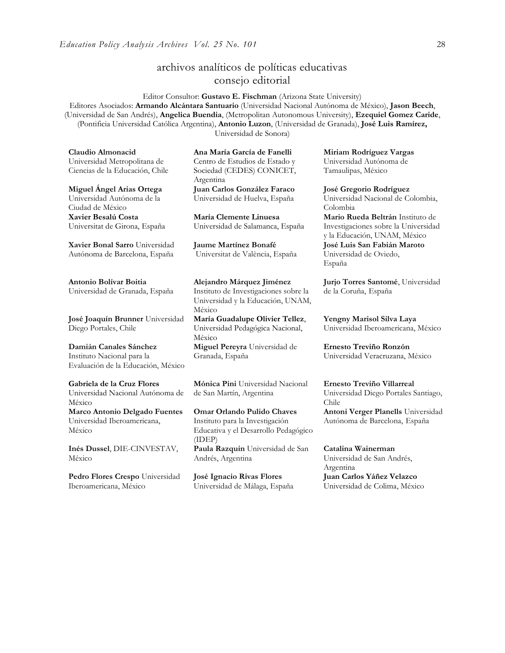# archivos analíticos de políticas educativas consejo editorial

Editor Consultor: **Gustavo E. Fischman** (Arizona State University) Editores Asociados: **Armando Alcántara Santuario** (Universidad Nacional Autónoma de México), **Jason Beech**, (Universidad de San Andrés), **Angelica Buendia**, (Metropolitan Autonomous University), **Ezequiel Gomez Caride**, (Pontificia Universidad Católica Argentina), **Antonio Luzon**, (Universidad de Granada), **José Luis Ramírez,** Universidad de Sonora)

**Claudio Almonacid** Universidad Metropolitana de Ciencias de la Educación, Chile

**Miguel Ángel Arias Ortega**  Universidad Autónoma de la Ciudad de México **Xavier Besalú Costa**  Universitat de Girona, España

**[Xavier Bonal](javascript:openRTWindow() Sarro** Universidad Autónoma de Barcelona, España

**[Antonio Bolívar](javascript:openRTWindow() Boitia** Universidad de Granada, España

**[José Joaquín Brunner](javascript:openRTWindow()** Universidad Diego Portales, Chile

**[Damián Canales Sánchez](javascript:openRTWindow()** Instituto Nacional para la Evaluación de la Educación, México

**Gabriela de la Cruz Flores** Universidad Nacional Autónoma de México **[Marco Antonio Delgado Fuentes](javascript:openRTWindow()** Universidad Iberoamericana, México

**[Inés Dussel](javascript:openRTWindow()**, DIE-CINVESTAV, México

**[Pedro Flores Crespo](javascript:openRTWindow()** Universidad Iberoamericana, México

**Ana María García de Fanelli**  Centro de Estudios de Estado y Sociedad (CEDES) CONICET, Argentina **Juan Carlos González Faraco**  Universidad de Huelva, España

**María Clemente Linuesa**  Universidad de Salamanca, España

**Jaume Martínez Bonafé** Universitat de València, España

**Alejandro Márquez Jiménez**  Instituto de Investigaciones sobre la Universidad y la Educación, UNAM, México

**María Guadalupe Olivier Tellez**, Universidad Pedagógica Nacional, México

**[Miguel Pereyra](javascript:openRTWindow()** Universidad de Granada, España

**[Mónica Pini](javascript:openRTWindow()** Universidad Nacional de San Martín, Argentina

**Omar Orlando Pulido Chaves** Instituto para la Investigación Educativa y el Desarrollo Pedagógico (IDEP) **[Paula Razquin](javascript:openRTWindow()** Universidad de San Andrés, Argentina

**José Ignacio Rivas Flores** Universidad de Málaga, España **[Miriam Rodríguez Vargas](javascript:openRTWindow()** Universidad Autónoma de Tamaulipas, México

**José Gregorio Rodríguez**  Universidad Nacional de Colombia, Colombia **[Mario Rueda Beltrán](javascript:openRTWindow()** Instituto de Investigaciones sobre la Universidad y la Educación, UNAM, México **José Luis San Fabián Maroto**  Universidad de Oviedo, España

**[Jurjo Torres Santomé](javascript:openRTWindow()**, Universidad de la Coruña, España

**[Yengny Marisol Silva Laya](javascript:openRTWindow()** Universidad Iberoamericana, México

**Ernesto Treviño Ronzón** Universidad Veracruzana, México

**[Ernesto Treviño](javascript:openRTWindow() Villarreal** Universidad Diego Portales Santiago, Chile

**[Antoni Verger Planells](javascript:openRTWindow()** Universidad Autónoma de Barcelona, España

**[Catalina Wainerman](javascript:openRTWindow()** Universidad de San Andrés, Argentina **Juan Carlos Yáñez Velazco** Universidad de Colima, México